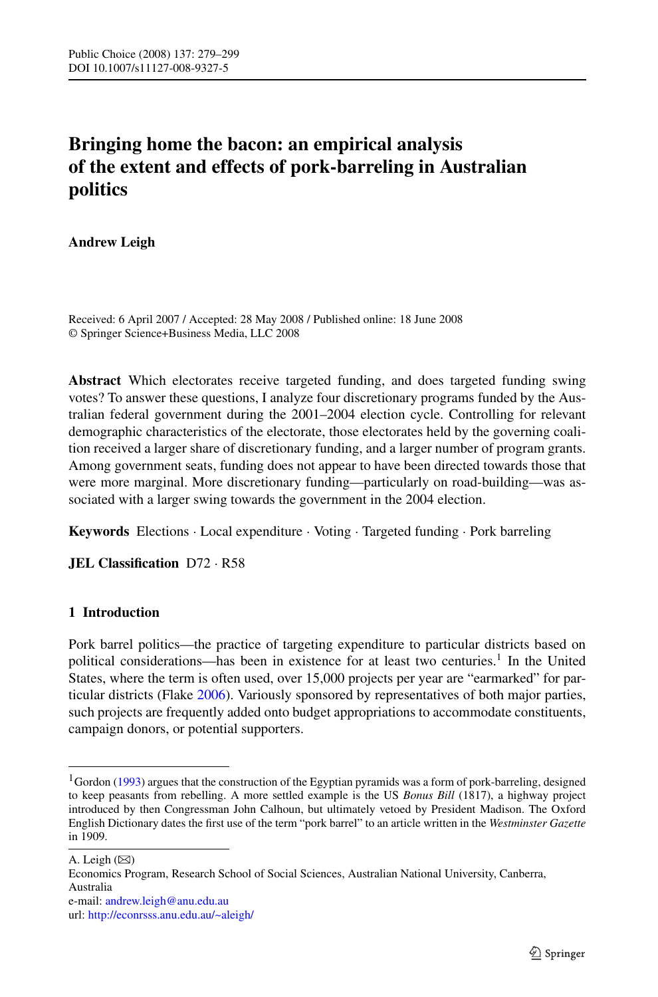# **Bringing home the bacon: an empirical analysis of the extent and effects of pork-barreling in Australian politics**

# **Andrew Leigh**

Received: 6 April 2007 / Accepted: 28 May 2008 / Published online: 18 June 2008 © Springer Science+Business Media, LLC 2008

**Abstract** Which electorates receive targeted funding, and does targeted funding swing votes? To answer these questions, I analyze four discretionary programs funded by the Australian federal government during the 2001–2004 election cycle. Controlling for relevant demographic characteristics of the electorate, those electorates held by the governing coalition received a larger share of discretionary funding, and a larger number of program grants. Among government seats, funding does not appear to have been directed towards those that were more marginal. More discretionary funding—particularly on road-building—was associated with a larger swing towards the government in the 2004 election.

**Keywords** Elections · Local expenditure · Voting · Targeted funding · Pork barreling

**JEL Classification** D72 · R58

# **1 Introduction**

Pork barrel politics—the practice of targeting expenditure to particular districts based on political considerations—has been in existence for at least two centuries.<sup>1</sup> In the United States, where the term is often used, over 15,000 projects per year are "earmarked" for particular districts (Flake [2006\)](#page-20-0). Variously sponsored by representatives of both major parties, such projects are frequently added onto budget appropriations to accommodate constituents, campaign donors, or potential supporters.

Economics Program, Research School of Social Sciences, Australian National University, Canberra, Australia

<sup>&</sup>lt;sup>1</sup>Gordon [\(1993](#page-20-0)) argues that the construction of the Egyptian pyramids was a form of pork-barreling, designed to keep peasants from rebelling. A more settled example is the US *Bonus Bill* (1817), a highway project introduced by then Congressman John Calhoun, but ultimately vetoed by President Madison. The Oxford English Dictionary dates the first use of the term "pork barrel" to an article written in the *Westminster Gazette* in 1909.

A. Leigh  $(\boxtimes)$ 

e-mail: [andrew.leigh@anu.edu.au](mailto:andrew.leigh@anu.edu.au)

url: <http://econrsss.anu.edu.au/~aleigh/>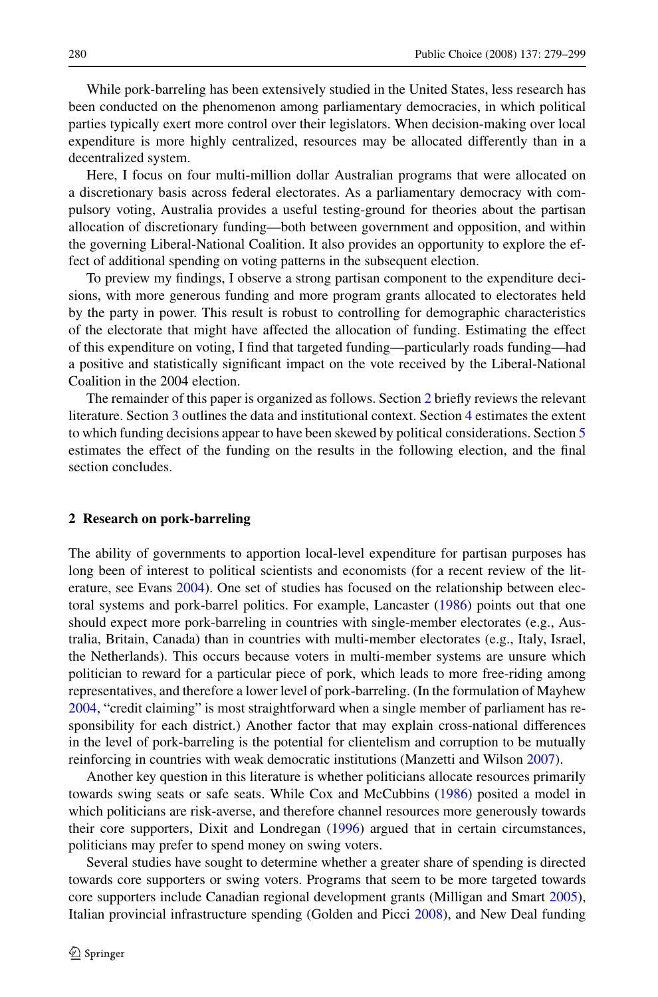While pork-barreling has been extensively studied in the United States, less research has been conducted on the phenomenon among parliamentary democracies, in which political parties typically exert more control over their legislators. When decision-making over local expenditure is more highly centralized, resources may be allocated differently than in a decentralized system.

Here, I focus on four multi-million dollar Australian programs that were allocated on a discretionary basis across federal electorates. As a parliamentary democracy with compulsory voting, Australia provides a useful testing-ground for theories about the partisan allocation of discretionary funding—both between government and opposition, and within the governing Liberal-National Coalition. It also provides an opportunity to explore the effect of additional spending on voting patterns in the subsequent election.

To preview my findings, I observe a strong partisan component to the expenditure decisions, with more generous funding and more program grants allocated to electorates held by the party in power. This result is robust to controlling for demographic characteristics of the electorate that might have affected the allocation of funding. Estimating the effect of this expenditure on voting, I find that targeted funding—particularly roads funding—had a positive and statistically significant impact on the vote received by the Liberal-National Coalition in the 2004 election.

The remainder of this paper is organized as follows. Section 2 briefly reviews the relevant literature. Section [3](#page-2-0) outlines the data and institutional context. Section [4](#page-8-0) estimates the extent to which funding decisions appear to have been skewed by political considerations. Section [5](#page-13-0) estimates the effect of the funding on the results in the following election, and the final section concludes.

#### **2 Research on pork-barreling**

The ability of governments to apportion local-level expenditure for partisan purposes has long been of interest to political scientists and economists (for a recent review of the literature, see Evans [2004\)](#page-20-0). One set of studies has focused on the relationship between electoral systems and pork-barrel politics. For example, Lancaster [\(1986](#page-20-0)) points out that one should expect more pork-barreling in countries with single-member electorates (e.g., Australia, Britain, Canada) than in countries with multi-member electorates (e.g., Italy, Israel, the Netherlands). This occurs because voters in multi-member systems are unsure which politician to reward for a particular piece of pork, which leads to more free-riding among representatives, and therefore a lower level of pork-barreling. (In the formulation of Mayhew [2004,](#page-20-0) "credit claiming" is most straightforward when a single member of parliament has responsibility for each district.) Another factor that may explain cross-national differences in the level of pork-barreling is the potential for clientelism and corruption to be mutually reinforcing in countries with weak democratic institutions (Manzetti and Wilson [2007\)](#page-20-0).

Another key question in this literature is whether politicians allocate resources primarily towards swing seats or safe seats. While Cox and McCubbins ([1986](#page-19-0)) posited a model in which politicians are risk-averse, and therefore channel resources more generously towards their core supporters, Dixit and Londregan [\(1996](#page-20-0)) argued that in certain circumstances, politicians may prefer to spend money on swing voters.

Several studies have sought to determine whether a greater share of spending is directed towards core supporters or swing voters. Programs that seem to be more targeted towards core supporters include Canadian regional development grants (Milligan and Smart [2005](#page-20-0)), Italian provincial infrastructure spending (Golden and Picci [2008\)](#page-20-0), and New Deal funding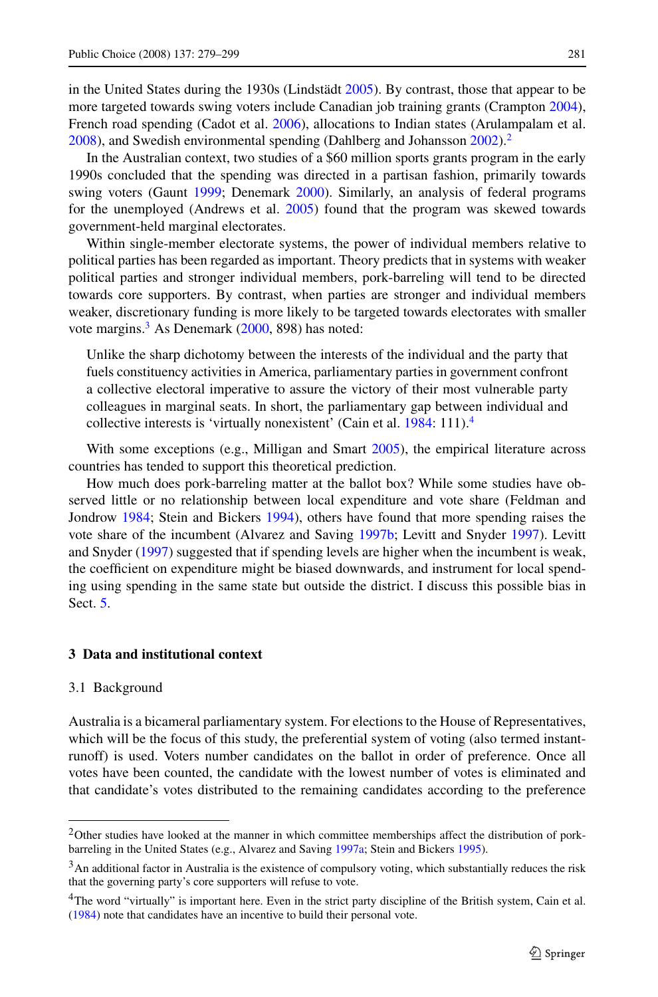<span id="page-2-0"></span>in the United States during the 1930s (Lindstädt [2005\)](#page-20-0). By contrast, those that appear to be more targeted towards swing voters include Canadian job training grants (Crampton [2004](#page-19-0)), French road spending (Cadot et al. [2006](#page-19-0)), allocations to Indian states (Arulampalam et al. [2008\)](#page-19-0), and Swedish environmental spending (Dahlberg and Johansson [2002](#page-19-0)).<sup>2</sup>

In the Australian context, two studies of a \$60 million sports grants program in the early 1990s concluded that the spending was directed in a partisan fashion, primarily towards swing voters (Gaunt [1999](#page-20-0); Denemark [2000\)](#page-19-0). Similarly, an analysis of federal programs for the unemployed (Andrews et al. [2005\)](#page-19-0) found that the program was skewed towards government-held marginal electorates.

Within single-member electorate systems, the power of individual members relative to political parties has been regarded as important. Theory predicts that in systems with weaker political parties and stronger individual members, pork-barreling will tend to be directed towards core supporters. By contrast, when parties are stronger and individual members weaker, discretionary funding is more likely to be targeted towards electorates with smaller vote margins.<sup>3</sup> As Denemark ([2000,](#page-19-0) 898) has noted:

Unlike the sharp dichotomy between the interests of the individual and the party that fuels constituency activities in America, parliamentary parties in government confront a collective electoral imperative to assure the victory of their most vulnerable party colleagues in marginal seats. In short, the parliamentary gap between individual and collective interests is 'virtually nonexistent' (Cain et al. [1984:](#page-19-0) 111).<sup>4</sup>

With some exceptions (e.g., Milligan and Smart [2005](#page-20-0)), the empirical literature across countries has tended to support this theoretical prediction.

How much does pork-barreling matter at the ballot box? While some studies have observed little or no relationship between local expenditure and vote share (Feldman and Jondrow [1984](#page-20-0); Stein and Bickers [1994\)](#page-20-0), others have found that more spending raises the vote share of the incumbent (Alvarez and Saving [1997b](#page-19-0); Levitt and Snyder [1997](#page-20-0)). Levitt and Snyder ([1997\)](#page-20-0) suggested that if spending levels are higher when the incumbent is weak, the coefficient on expenditure might be biased downwards, and instrument for local spending using spending in the same state but outside the district. I discuss this possible bias in Sect. [5.](#page-13-0)

## **3 Data and institutional context**

#### 3.1 Background

Australia is a bicameral parliamentary system. For elections to the House of Representatives, which will be the focus of this study, the preferential system of voting (also termed instantrunoff) is used. Voters number candidates on the ballot in order of preference. Once all votes have been counted, the candidate with the lowest number of votes is eliminated and that candidate's votes distributed to the remaining candidates according to the preference

 $2$ Other studies have looked at the manner in which committee memberships affect the distribution of porkbarreling in the United States (e.g., Alvarez and Saving [1997a](#page-19-0); Stein and Bickers [1995\)](#page-20-0).

 $3$ An additional factor in Australia is the existence of compulsory voting, which substantially reduces the risk that the governing party's core supporters will refuse to vote.

<sup>&</sup>lt;sup>4</sup>The word "virtually" is important here. Even in the strict party discipline of the British system, Cain et al. [\(1984](#page-19-0)) note that candidates have an incentive to build their personal vote.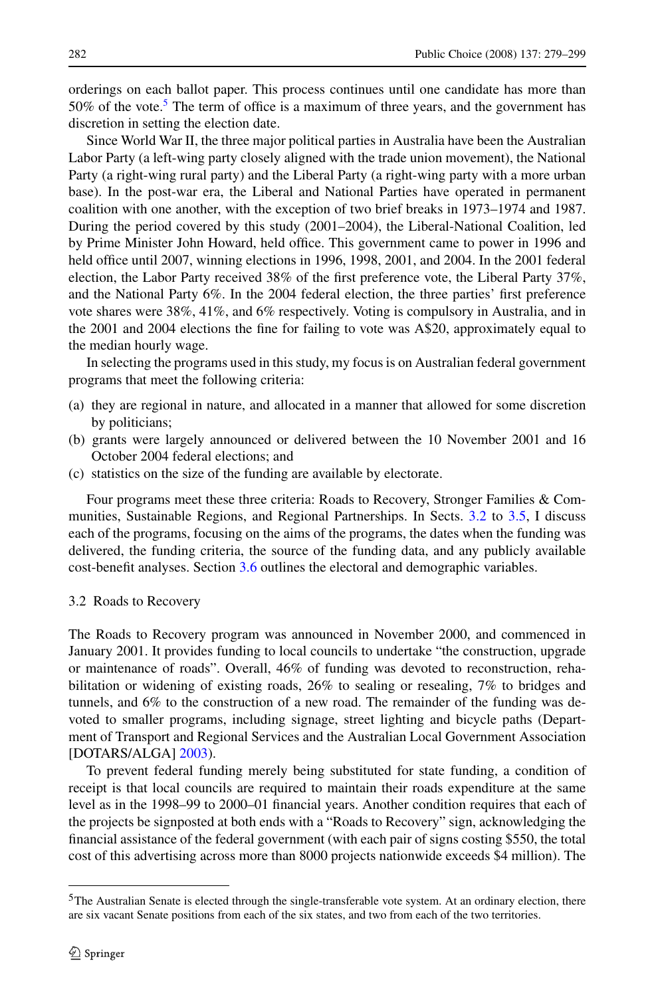orderings on each ballot paper. This process continues until one candidate has more than 50% of the vote.<sup>5</sup> The term of office is a maximum of three years, and the government has discretion in setting the election date.

Since World War II, the three major political parties in Australia have been the Australian Labor Party (a left-wing party closely aligned with the trade union movement), the National Party (a right-wing rural party) and the Liberal Party (a right-wing party with a more urban base). In the post-war era, the Liberal and National Parties have operated in permanent coalition with one another, with the exception of two brief breaks in 1973–1974 and 1987. During the period covered by this study (2001–2004), the Liberal-National Coalition, led by Prime Minister John Howard, held office. This government came to power in 1996 and held office until 2007, winning elections in 1996, 1998, 2001, and 2004. In the 2001 federal election, the Labor Party received 38% of the first preference vote, the Liberal Party 37%, and the National Party 6%. In the 2004 federal election, the three parties' first preference vote shares were 38%, 41%, and 6% respectively. Voting is compulsory in Australia, and in the 2001 and 2004 elections the fine for failing to vote was A\$20, approximately equal to the median hourly wage.

In selecting the programs used in this study, my focus is on Australian federal government programs that meet the following criteria:

- (a) they are regional in nature, and allocated in a manner that allowed for some discretion by politicians;
- (b) grants were largely announced or delivered between the 10 November 2001 and 16 October 2004 federal elections; and
- (c) statistics on the size of the funding are available by electorate.

Four programs meet these three criteria: Roads to Recovery, Stronger Families & Communities, Sustainable Regions, and Regional Partnerships. In Sects. 3.2 to [3.5,](#page-6-0) I discuss each of the programs, focusing on the aims of the programs, the dates when the funding was delivered, the funding criteria, the source of the funding data, and any publicly available cost-benefit analyses. Section [3.6](#page-7-0) outlines the electoral and demographic variables.

#### 3.2 Roads to Recovery

The Roads to Recovery program was announced in November 2000, and commenced in January 2001. It provides funding to local councils to undertake "the construction, upgrade or maintenance of roads". Overall, 46% of funding was devoted to reconstruction, rehabilitation or widening of existing roads, 26% to sealing or resealing, 7% to bridges and tunnels, and 6% to the construction of a new road. The remainder of the funding was devoted to smaller programs, including signage, street lighting and bicycle paths (Department of Transport and Regional Services and the Australian Local Government Association [DOTARS/ALGA] [2003\)](#page-20-0).

To prevent federal funding merely being substituted for state funding, a condition of receipt is that local councils are required to maintain their roads expenditure at the same level as in the 1998–99 to 2000–01 financial years. Another condition requires that each of the projects be signposted at both ends with a "Roads to Recovery" sign, acknowledging the financial assistance of the federal government (with each pair of signs costing \$550, the total cost of this advertising across more than 8000 projects nationwide exceeds \$4 million). The

 $5$ The Australian Senate is elected through the single-transferable vote system. At an ordinary election, there are six vacant Senate positions from each of the six states, and two from each of the two territories.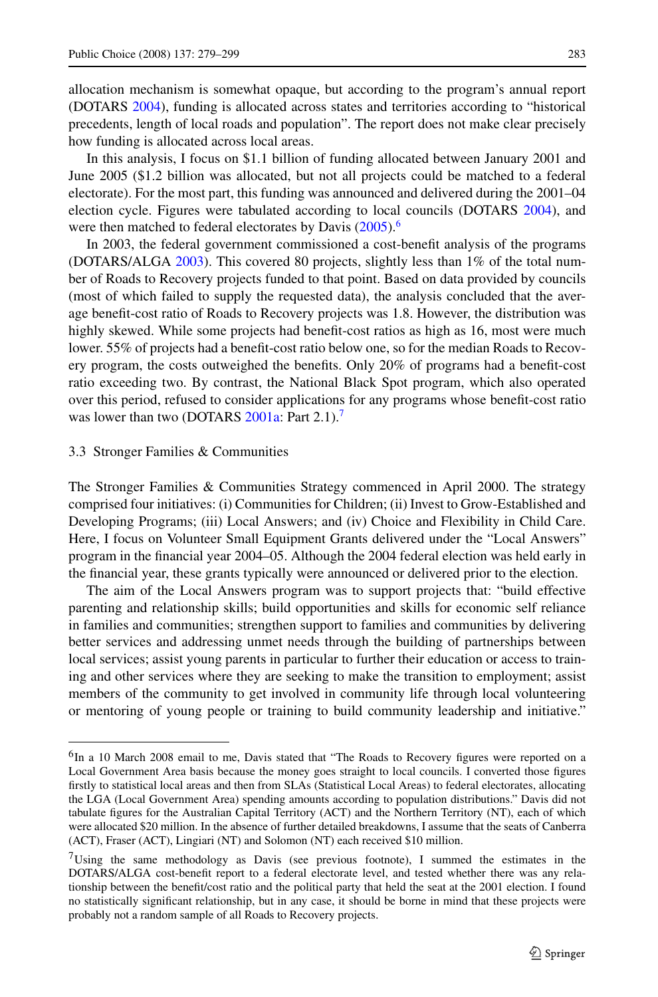allocation mechanism is somewhat opaque, but according to the program's annual report (DOTARS [2004](#page-20-0)), funding is allocated across states and territories according to "historical precedents, length of local roads and population". The report does not make clear precisely how funding is allocated across local areas.

In this analysis, I focus on \$1.1 billion of funding allocated between January 2001 and June 2005 (\$1.2 billion was allocated, but not all projects could be matched to a federal electorate). For the most part, this funding was announced and delivered during the 2001–04 election cycle. Figures were tabulated according to local councils (DOTARS [2004\)](#page-20-0), and were then matched to federal electorates by Davis [\(2005](#page-19-0)).<sup>6</sup>

In 2003, the federal government commissioned a cost-benefit analysis of the programs (DOTARS/ALGA [2003](#page-20-0)). This covered 80 projects, slightly less than 1% of the total number of Roads to Recovery projects funded to that point. Based on data provided by councils (most of which failed to supply the requested data), the analysis concluded that the average benefit-cost ratio of Roads to Recovery projects was 1.8. However, the distribution was highly skewed. While some projects had benefit-cost ratios as high as 16, most were much lower. 55% of projects had a benefit-cost ratio below one, so for the median Roads to Recovery program, the costs outweighed the benefits. Only 20% of programs had a benefit-cost ratio exceeding two. By contrast, the National Black Spot program, which also operated over this period, refused to consider applications for any programs whose benefit-cost ratio was lower than two (DOTARS [2001a:](#page-20-0) Part 2.1).<sup>7</sup>

#### 3.3 Stronger Families & Communities

The Stronger Families & Communities Strategy commenced in April 2000. The strategy comprised four initiatives: (i) Communities for Children; (ii) Invest to Grow-Established and Developing Programs; (iii) Local Answers; and (iv) Choice and Flexibility in Child Care. Here, I focus on Volunteer Small Equipment Grants delivered under the "Local Answers" program in the financial year 2004–05. Although the 2004 federal election was held early in the financial year, these grants typically were announced or delivered prior to the election.

The aim of the Local Answers program was to support projects that: "build effective parenting and relationship skills; build opportunities and skills for economic self reliance in families and communities; strengthen support to families and communities by delivering better services and addressing unmet needs through the building of partnerships between local services; assist young parents in particular to further their education or access to training and other services where they are seeking to make the transition to employment; assist members of the community to get involved in community life through local volunteering or mentoring of young people or training to build community leadership and initiative."

<sup>&</sup>lt;sup>6</sup>In a 10 March 2008 email to me, Davis stated that "The Roads to Recovery figures were reported on a Local Government Area basis because the money goes straight to local councils. I converted those figures firstly to statistical local areas and then from SLAs (Statistical Local Areas) to federal electorates, allocating the LGA (Local Government Area) spending amounts according to population distributions." Davis did not tabulate figures for the Australian Capital Territory (ACT) and the Northern Territory (NT), each of which were allocated \$20 million. In the absence of further detailed breakdowns, I assume that the seats of Canberra (ACT), Fraser (ACT), Lingiari (NT) and Solomon (NT) each received \$10 million.

<sup>&</sup>lt;sup>7</sup>Using the same methodology as Davis (see previous footnote), I summed the estimates in the DOTARS/ALGA cost-benefit report to a federal electorate level, and tested whether there was any relationship between the benefit/cost ratio and the political party that held the seat at the 2001 election. I found no statistically significant relationship, but in any case, it should be borne in mind that these projects were probably not a random sample of all Roads to Recovery projects.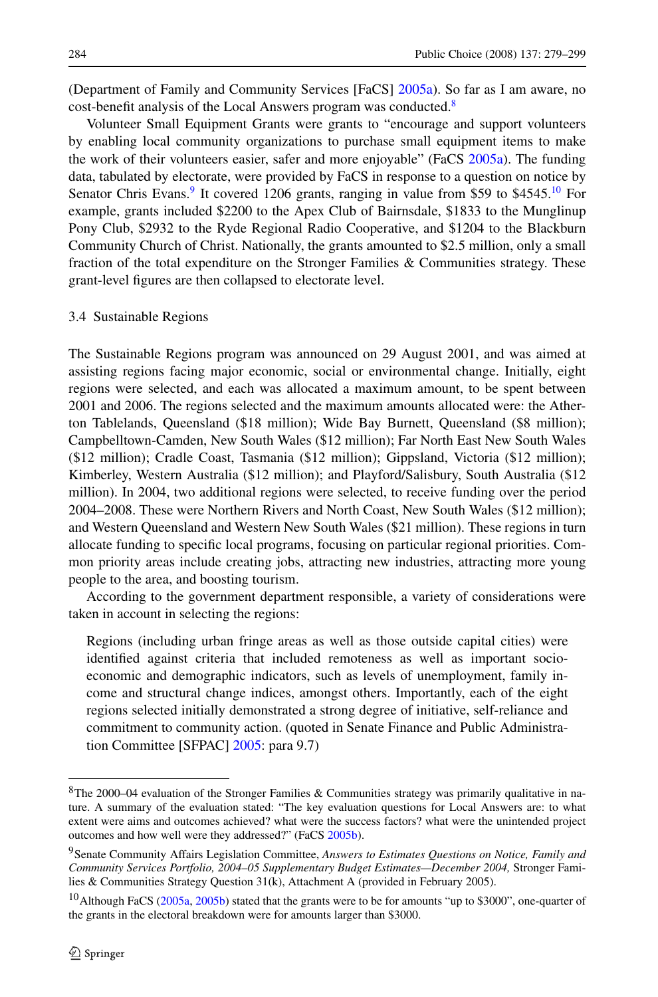(Department of Family and Community Services [FaCS] [2005a](#page-19-0)). So far as I am aware, no cost-benefit analysis of the Local Answers program was conducted.<sup>8</sup>

Volunteer Small Equipment Grants were grants to "encourage and support volunteers by enabling local community organizations to purchase small equipment items to make the work of their volunteers easier, safer and more enjoyable" (FaCS [2005a](#page-19-0)). The funding data, tabulated by electorate, were provided by FaCS in response to a question on notice by Senator Chris Evans.<sup>9</sup> It covered 1206 grants, ranging in value from \$59 to \$4545.<sup>10</sup> For example, grants included \$2200 to the Apex Club of Bairnsdale, \$1833 to the Munglinup Pony Club, \$2932 to the Ryde Regional Radio Cooperative, and \$1204 to the Blackburn Community Church of Christ. Nationally, the grants amounted to \$2.5 million, only a small fraction of the total expenditure on the Stronger Families & Communities strategy. These grant-level figures are then collapsed to electorate level.

#### 3.4 Sustainable Regions

The Sustainable Regions program was announced on 29 August 2001, and was aimed at assisting regions facing major economic, social or environmental change. Initially, eight regions were selected, and each was allocated a maximum amount, to be spent between 2001 and 2006. The regions selected and the maximum amounts allocated were: the Atherton Tablelands, Queensland (\$18 million); Wide Bay Burnett, Queensland (\$8 million); Campbelltown-Camden, New South Wales (\$12 million); Far North East New South Wales (\$12 million); Cradle Coast, Tasmania (\$12 million); Gippsland, Victoria (\$12 million); Kimberley, Western Australia (\$12 million); and Playford/Salisbury, South Australia (\$12 million). In 2004, two additional regions were selected, to receive funding over the period 2004–2008. These were Northern Rivers and North Coast, New South Wales (\$12 million); and Western Queensland and Western New South Wales (\$21 million). These regions in turn allocate funding to specific local programs, focusing on particular regional priorities. Common priority areas include creating jobs, attracting new industries, attracting more young people to the area, and boosting tourism.

According to the government department responsible, a variety of considerations were taken in account in selecting the regions:

Regions (including urban fringe areas as well as those outside capital cities) were identified against criteria that included remoteness as well as important socioeconomic and demographic indicators, such as levels of unemployment, family income and structural change indices, amongst others. Importantly, each of the eight regions selected initially demonstrated a strong degree of initiative, self-reliance and commitment to community action. (quoted in Senate Finance and Public Administration Committee [SFPAC] [2005:](#page-20-0) para 9.7)

<sup>8</sup>The 2000–04 evaluation of the Stronger Families & Communities strategy was primarily qualitative in nature. A summary of the evaluation stated: "The key evaluation questions for Local Answers are: to what extent were aims and outcomes achieved? what were the success factors? what were the unintended project outcomes and how well were they addressed?" (FaCS [2005b\)](#page-20-0).

<sup>9</sup>Senate Community Affairs Legislation Committee, *Answers to Estimates Questions on Notice, Family and Community Services Portfolio, 2004–05 Supplementary Budget Estimates—December 2004,* Stronger Families & Communities Strategy Question 31(k), Attachment A (provided in February 2005).

 $10$ Although FaCS [\(2005a,](#page-19-0) [2005b](#page-20-0)) stated that the grants were to be for amounts "up to \$3000", one-quarter of the grants in the electoral breakdown were for amounts larger than \$3000.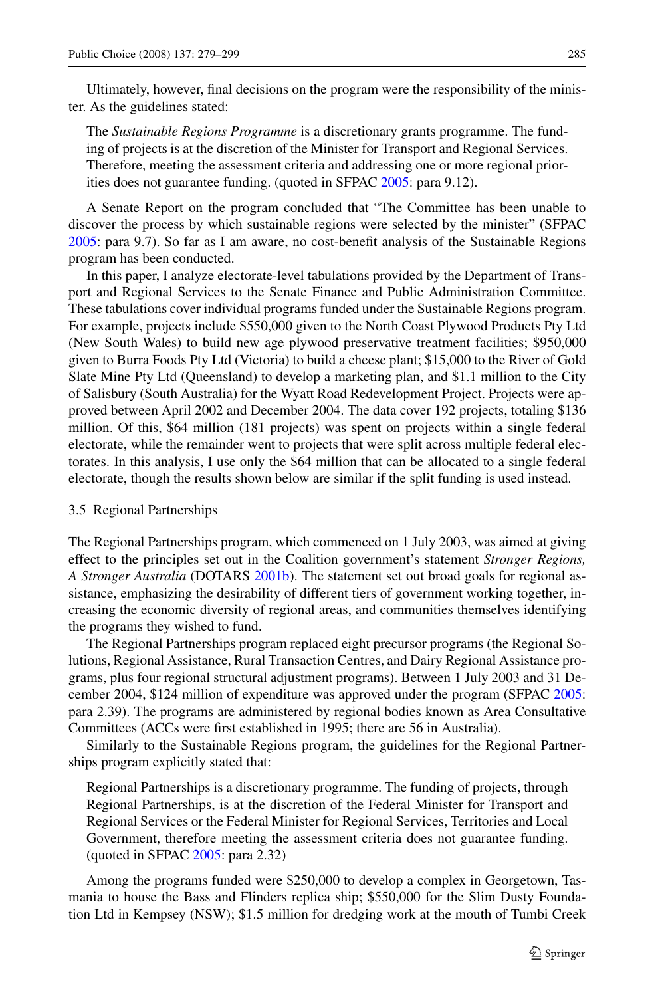<span id="page-6-0"></span>Ultimately, however, final decisions on the program were the responsibility of the minister. As the guidelines stated:

The *Sustainable Regions Programme* is a discretionary grants programme. The funding of projects is at the discretion of the Minister for Transport and Regional Services. Therefore, meeting the assessment criteria and addressing one or more regional priorities does not guarantee funding. (quoted in SFPAC [2005](#page-20-0): para 9.12).

A Senate Report on the program concluded that "The Committee has been unable to discover the process by which sustainable regions were selected by the minister" (SFPAC [2005:](#page-20-0) para 9.7). So far as I am aware, no cost-benefit analysis of the Sustainable Regions program has been conducted.

In this paper, I analyze electorate-level tabulations provided by the Department of Transport and Regional Services to the Senate Finance and Public Administration Committee. These tabulations cover individual programs funded under the Sustainable Regions program. For example, projects include \$550,000 given to the North Coast Plywood Products Pty Ltd (New South Wales) to build new age plywood preservative treatment facilities; \$950,000 given to Burra Foods Pty Ltd (Victoria) to build a cheese plant; \$15,000 to the River of Gold Slate Mine Pty Ltd (Queensland) to develop a marketing plan, and \$1.1 million to the City of Salisbury (South Australia) for the Wyatt Road Redevelopment Project. Projects were approved between April 2002 and December 2004. The data cover 192 projects, totaling \$136 million. Of this, \$64 million (181 projects) was spent on projects within a single federal electorate, while the remainder went to projects that were split across multiple federal electorates. In this analysis, I use only the \$64 million that can be allocated to a single federal electorate, though the results shown below are similar if the split funding is used instead.

#### 3.5 Regional Partnerships

The Regional Partnerships program, which commenced on 1 July 2003, was aimed at giving effect to the principles set out in the Coalition government's statement *Stronger Regions, A Stronger Australia* (DOTARS [2001b](#page-20-0)). The statement set out broad goals for regional assistance, emphasizing the desirability of different tiers of government working together, increasing the economic diversity of regional areas, and communities themselves identifying the programs they wished to fund.

The Regional Partnerships program replaced eight precursor programs (the Regional Solutions, Regional Assistance, Rural Transaction Centres, and Dairy Regional Assistance programs, plus four regional structural adjustment programs). Between 1 July 2003 and 31 December 2004, \$124 million of expenditure was approved under the program (SFPAC [2005:](#page-20-0) para 2.39). The programs are administered by regional bodies known as Area Consultative Committees (ACCs were first established in 1995; there are 56 in Australia).

Similarly to the Sustainable Regions program, the guidelines for the Regional Partnerships program explicitly stated that:

Regional Partnerships is a discretionary programme. The funding of projects, through Regional Partnerships, is at the discretion of the Federal Minister for Transport and Regional Services or the Federal Minister for Regional Services, Territories and Local Government, therefore meeting the assessment criteria does not guarantee funding. (quoted in SFPAC [2005:](#page-20-0) para 2.32)

Among the programs funded were \$250,000 to develop a complex in Georgetown, Tasmania to house the Bass and Flinders replica ship; \$550,000 for the Slim Dusty Foundation Ltd in Kempsey (NSW); \$1.5 million for dredging work at the mouth of Tumbi Creek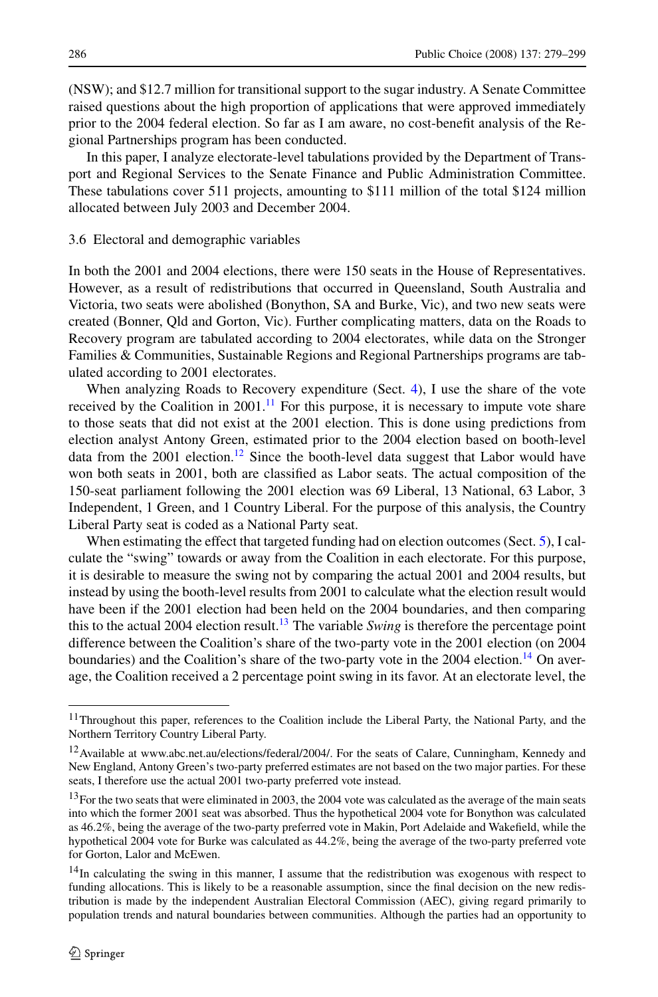<span id="page-7-0"></span>(NSW); and \$12.7 million for transitional support to the sugar industry. A Senate Committee raised questions about the high proportion of applications that were approved immediately prior to the 2004 federal election. So far as I am aware, no cost-benefit analysis of the Regional Partnerships program has been conducted.

In this paper, I analyze electorate-level tabulations provided by the Department of Transport and Regional Services to the Senate Finance and Public Administration Committee. These tabulations cover 511 projects, amounting to \$111 million of the total \$124 million allocated between July 2003 and December 2004.

### 3.6 Electoral and demographic variables

In both the 2001 and 2004 elections, there were 150 seats in the House of Representatives. However, as a result of redistributions that occurred in Queensland, South Australia and Victoria, two seats were abolished (Bonython, SA and Burke, Vic), and two new seats were created (Bonner, Qld and Gorton, Vic). Further complicating matters, data on the Roads to Recovery program are tabulated according to 2004 electorates, while data on the Stronger Families & Communities, Sustainable Regions and Regional Partnerships programs are tabulated according to 2001 electorates.

When analyzing Roads to Recovery expenditure (Sect. [4](#page-8-0)), I use the share of the vote received by the Coalition in 2001. $^{11}$  For this purpose, it is necessary to impute vote share to those seats that did not exist at the 2001 election. This is done using predictions from election analyst Antony Green, estimated prior to the 2004 election based on booth-level data from the  $2001$  election.<sup>12</sup> Since the booth-level data suggest that Labor would have won both seats in 2001, both are classified as Labor seats. The actual composition of the 150-seat parliament following the 2001 election was 69 Liberal, 13 National, 63 Labor, 3 Independent, 1 Green, and 1 Country Liberal. For the purpose of this analysis, the Country Liberal Party seat is coded as a National Party seat.

When estimating the effect that targeted funding had on election outcomes (Sect. [5\)](#page-13-0), I calculate the "swing" towards or away from the Coalition in each electorate. For this purpose, it is desirable to measure the swing not by comparing the actual 2001 and 2004 results, but instead by using the booth-level results from 2001 to calculate what the election result would have been if the 2001 election had been held on the 2004 boundaries, and then comparing this to the actual 2004 election result.<sup>13</sup> The variable *Swing* is therefore the percentage point difference between the Coalition's share of the two-party vote in the 2001 election (on 2004 boundaries) and the Coalition's share of the two-party vote in the 2004 election.<sup>14</sup> On average, the Coalition received a 2 percentage point swing in its favor. At an electorate level, the

<sup>&</sup>lt;sup>11</sup>Throughout this paper, references to the Coalition include the Liberal Party, the National Party, and the Northern Territory Country Liberal Party.

<sup>12</sup>Available at www.abc.net.au/elections/federal/2004/. For the seats of Calare, Cunningham, Kennedy and New England, Antony Green's two-party preferred estimates are not based on the two major parties. For these seats, I therefore use the actual 2001 two-party preferred vote instead.

<sup>&</sup>lt;sup>13</sup>For the two seats that were eliminated in 2003, the 2004 vote was calculated as the average of the main seats into which the former 2001 seat was absorbed. Thus the hypothetical 2004 vote for Bonython was calculated as 46.2%, being the average of the two-party preferred vote in Makin, Port Adelaide and Wakefield, while the hypothetical 2004 vote for Burke was calculated as 44.2%, being the average of the two-party preferred vote for Gorton, Lalor and McEwen.

<sup>&</sup>lt;sup>14</sup>In calculating the swing in this manner, I assume that the redistribution was exogenous with respect to funding allocations. This is likely to be a reasonable assumption, since the final decision on the new redistribution is made by the independent Australian Electoral Commission (AEC), giving regard primarily to population trends and natural boundaries between communities. Although the parties had an opportunity to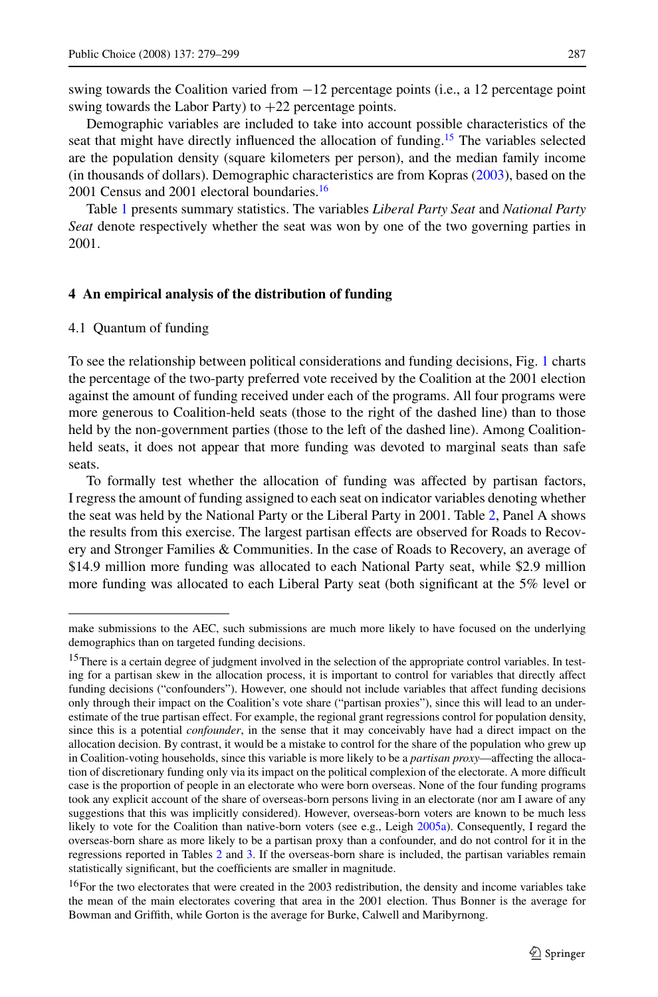<span id="page-8-0"></span>swing towards the Coalition varied from −12 percentage points (i.e., a 12 percentage point swing towards the Labor Party) to  $+22$  percentage points.

Demographic variables are included to take into account possible characteristics of the seat that might have directly influenced the allocation of funding.<sup>15</sup> The variables selected are the population density (square kilometers per person), and the median family income (in thousands of dollars). Demographic characteristics are from Kopras [\(2003](#page-20-0)), based on the 2001 Census and 2001 electoral boundaries. $\frac{16}{16}$ 

Table [1](#page-9-0) presents summary statistics. The variables *Liberal Party Seat* and *National Party Seat* denote respectively whether the seat was won by one of the two governing parties in 2001.

### **4 An empirical analysis of the distribution of funding**

#### 4.1 Quantum of funding

To see the relationship between political considerations and funding decisions, Fig. [1](#page-9-0) charts the percentage of the two-party preferred vote received by the Coalition at the 2001 election against the amount of funding received under each of the programs. All four programs were more generous to Coalition-held seats (those to the right of the dashed line) than to those held by the non-government parties (those to the left of the dashed line). Among Coalitionheld seats, it does not appear that more funding was devoted to marginal seats than safe seats.

To formally test whether the allocation of funding was affected by partisan factors, I regress the amount of funding assigned to each seat on indicator variables denoting whether the seat was held by the National Party or the Liberal Party in 2001. Table [2](#page-10-0), Panel A shows the results from this exercise. The largest partisan effects are observed for Roads to Recovery and Stronger Families & Communities. In the case of Roads to Recovery, an average of \$14.9 million more funding was allocated to each National Party seat, while \$2.9 million more funding was allocated to each Liberal Party seat (both significant at the 5% level or

make submissions to the AEC, such submissions are much more likely to have focused on the underlying demographics than on targeted funding decisions.

<sup>&</sup>lt;sup>15</sup>There is a certain degree of judgment involved in the selection of the appropriate control variables. In testing for a partisan skew in the allocation process, it is important to control for variables that directly affect funding decisions ("confounders"). However, one should not include variables that affect funding decisions only through their impact on the Coalition's vote share ("partisan proxies"), since this will lead to an underestimate of the true partisan effect. For example, the regional grant regressions control for population density, since this is a potential *confounder*, in the sense that it may conceivably have had a direct impact on the allocation decision. By contrast, it would be a mistake to control for the share of the population who grew up in Coalition-voting households, since this variable is more likely to be a *partisan proxy*—affecting the allocation of discretionary funding only via its impact on the political complexion of the electorate. A more difficult case is the proportion of people in an electorate who were born overseas. None of the four funding programs took any explicit account of the share of overseas-born persons living in an electorate (nor am I aware of any suggestions that this was implicitly considered). However, overseas-born voters are known to be much less likely to vote for the Coalition than native-born voters (see e.g., Leigh [2005a](#page-20-0)). Consequently, I regard the overseas-born share as more likely to be a partisan proxy than a confounder, and do not control for it in the regressions reported in Tables [2](#page-10-0) and [3.](#page-11-0) If the overseas-born share is included, the partisan variables remain statistically significant, but the coefficients are smaller in magnitude.

<sup>&</sup>lt;sup>16</sup>For the two electorates that were created in the 2003 redistribution, the density and income variables take the mean of the main electorates covering that area in the 2001 election. Thus Bonner is the average for Bowman and Griffith, while Gorton is the average for Burke, Calwell and Maribyrnong.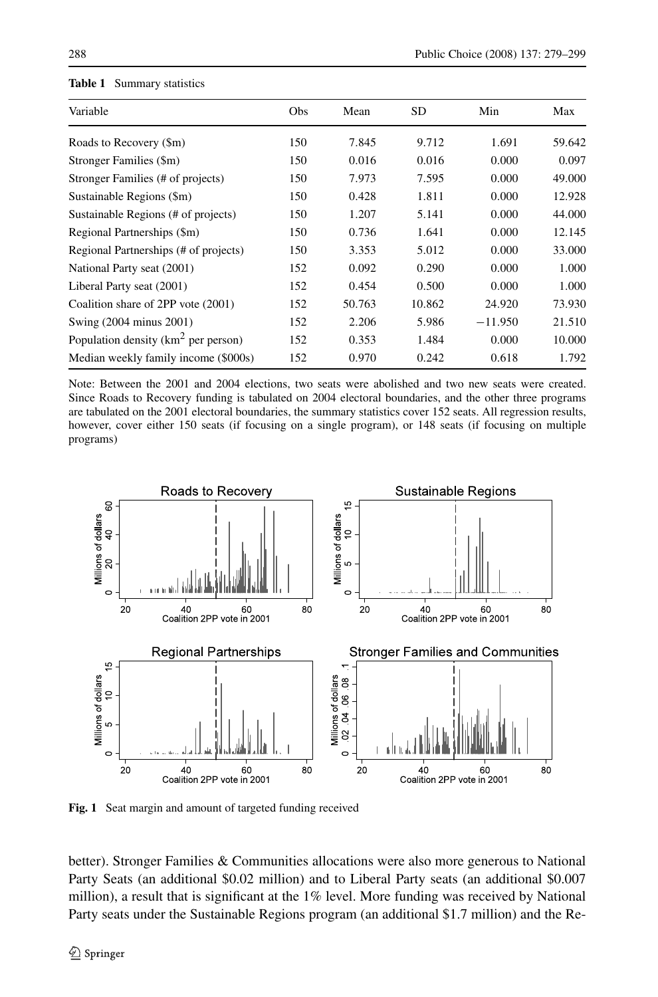| Variable                               | Obs | Mean   | <b>SD</b> | Min       | Max    |
|----------------------------------------|-----|--------|-----------|-----------|--------|
| Roads to Recovery (\$m)                | 150 | 7.845  | 9.712     | 1.691     | 59.642 |
| Stronger Families (\$m)                | 150 | 0.016  | 0.016     | 0.000     | 0.097  |
| Stronger Families (# of projects)      | 150 | 7.973  | 7.595     | 0.000     | 49.000 |
| Sustainable Regions (\$m)              | 150 | 0.428  | 1.811     | 0.000     | 12.928 |
| Sustainable Regions (# of projects)    | 150 | 1.207  | 5.141     | 0.000     | 44.000 |
| Regional Partnerships (\$m)            | 150 | 0.736  | 1.641     | 0.000     | 12.145 |
| Regional Partnerships (# of projects)  | 150 | 3.353  | 5.012     | 0.000     | 33.000 |
| National Party seat (2001)             | 152 | 0.092  | 0.290     | 0.000     | 1.000  |
| Liberal Party seat (2001)              | 152 | 0.454  | 0.500     | 0.000     | 1.000  |
| Coalition share of 2PP vote (2001)     | 152 | 50.763 | 10.862    | 24.920    | 73.930 |
| Swing (2004 minus 2001)                | 152 | 2.206  | 5.986     | $-11.950$ | 21.510 |
| Population density ( $km2$ per person) | 152 | 0.353  | 1.484     | 0.000     | 10.000 |
| Median weekly family income (\$000s)   | 152 | 0.970  | 0.242     | 0.618     | 1.792  |

#### <span id="page-9-0"></span>**Table 1** Summary statistics

Note: Between the 2001 and 2004 elections, two seats were abolished and two new seats were created. Since Roads to Recovery funding is tabulated on 2004 electoral boundaries, and the other three programs are tabulated on the 2001 electoral boundaries, the summary statistics cover 152 seats. All regression results, however, cover either 150 seats (if focusing on a single program), or 148 seats (if focusing on multiple programs)



**Fig. 1** Seat margin and amount of targeted funding received

better). Stronger Families & Communities allocations were also more generous to National Party Seats (an additional \$0.02 million) and to Liberal Party seats (an additional \$0.007 million), a result that is significant at the 1% level. More funding was received by National Party seats under the Sustainable Regions program (an additional \$1.7 million) and the Re-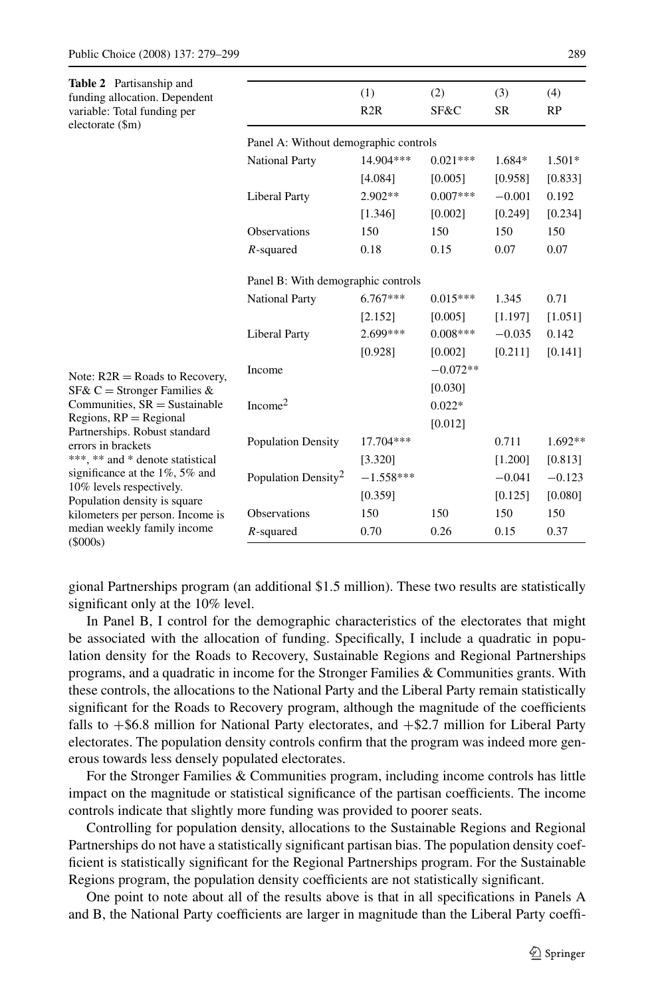<span id="page-10-0"></span>

| <b>Table 2</b> Partisanship and<br>funding allocation. Dependent<br>variable: Total funding per<br>electorate (\$m) |                                       | (1)<br>R2R  | (2)<br>SF&C | (3)<br><b>SR</b> | (4)<br>RP |  |  |
|---------------------------------------------------------------------------------------------------------------------|---------------------------------------|-------------|-------------|------------------|-----------|--|--|
|                                                                                                                     | Panel A: Without demographic controls |             |             |                  |           |  |  |
|                                                                                                                     | <b>National Party</b>                 | 14.904***   | $0.021***$  | 1.684*           | 1.501*    |  |  |
|                                                                                                                     |                                       | [4.084]     | [0.005]     | [0.958]          | [0.833]   |  |  |
|                                                                                                                     | <b>Liberal Party</b>                  | $2.902**$   | $0.007***$  | $-0.001$         | 0.192     |  |  |
|                                                                                                                     |                                       | [1.346]     | [0.002]     | [0.249]          | [0.234]   |  |  |
|                                                                                                                     | <b>Observations</b>                   | 150         | 150         | 150              | 150       |  |  |
|                                                                                                                     | $R$ -squared                          | 0.18        | 0.15        | 0.07             | 0.07      |  |  |
|                                                                                                                     | Panel B: With demographic controls    |             |             |                  |           |  |  |
|                                                                                                                     | <b>National Party</b>                 | $6.767***$  | $0.015***$  | 1.345            | 0.71      |  |  |
|                                                                                                                     |                                       | [2.152]     | [0.005]     | [1.197]          | [1.051]   |  |  |
|                                                                                                                     | <b>Liberal Party</b>                  | 2.699***    | $0.008***$  | $-0.035$         | 0.142     |  |  |
|                                                                                                                     |                                       | [0.928]     | [0.002]     | [0.211]          | [0.141]   |  |  |
| Note: $R2R = Roads$ to Recovery,                                                                                    | Income                                |             | $-0.072**$  |                  |           |  |  |
| SF& C = Stronger Families &                                                                                         |                                       |             | [0.030]     |                  |           |  |  |
| Communities, $SR =$ Sustainable                                                                                     | Income <sup>2</sup>                   |             | $0.022*$    |                  |           |  |  |
| Regions, $RP =$ Regional<br>Partnerships. Robust standard                                                           |                                       |             | [0.012]     |                  |           |  |  |
| errors in brackets                                                                                                  | <b>Population Density</b>             | 17.704***   |             | 0.711            | 1.692**   |  |  |
| ***, ** and * denote statistical                                                                                    |                                       | [3.320]     |             | [1.200]          | [0.813]   |  |  |
| significance at the $1\%$ , 5% and                                                                                  | Population Density <sup>2</sup>       | $-1.558***$ |             | $-0.041$         | $-0.123$  |  |  |
| 10% levels respectively.<br>Population density is square                                                            |                                       | [0.359]     |             | [0.125]          | [0.080]   |  |  |
| kilometers per person. Income is                                                                                    | <b>Observations</b>                   | 150         | 150         | 150              | 150       |  |  |
| median weekly family income<br>(5000s)                                                                              | $R$ -squared                          | 0.70        | 0.26        | 0.15             | 0.37      |  |  |

gional Partnerships program (an additional \$1.5 million). These two results are statistically significant only at the 10% level.

In Panel B, I control for the demographic characteristics of the electorates that might be associated with the allocation of funding. Specifically, I include a quadratic in population density for the Roads to Recovery, Sustainable Regions and Regional Partnerships programs, and a quadratic in income for the Stronger Families & Communities grants. With these controls, the allocations to the National Party and the Liberal Party remain statistically significant for the Roads to Recovery program, although the magnitude of the coefficients falls to  $+$ \$6.8 million for National Party electorates, and  $+$ \$2.7 million for Liberal Party electorates. The population density controls confirm that the program was indeed more generous towards less densely populated electorates.

For the Stronger Families & Communities program, including income controls has little impact on the magnitude or statistical significance of the partisan coefficients. The income controls indicate that slightly more funding was provided to poorer seats.

Controlling for population density, allocations to the Sustainable Regions and Regional Partnerships do not have a statistically significant partisan bias. The population density coefficient is statistically significant for the Regional Partnerships program. For the Sustainable Regions program, the population density coefficients are not statistically significant.

One point to note about all of the results above is that in all specifications in Panels A and B, the National Party coefficients are larger in magnitude than the Liberal Party coeffi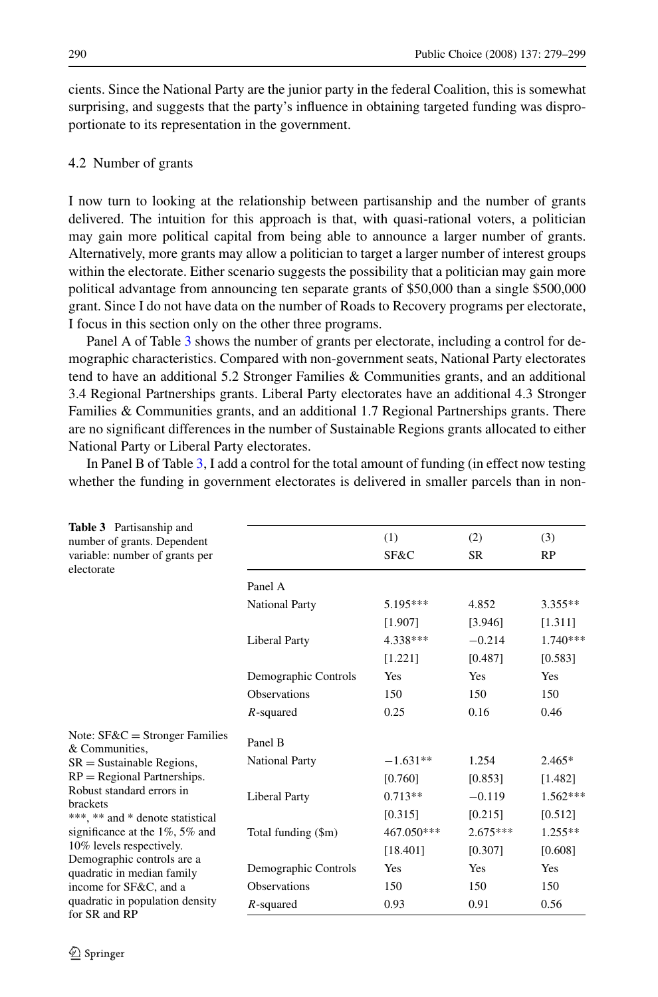<span id="page-11-0"></span>cients. Since the National Party are the junior party in the federal Coalition, this is somewhat surprising, and suggests that the party's influence in obtaining targeted funding was disproportionate to its representation in the government.

## 4.2 Number of grants

I now turn to looking at the relationship between partisanship and the number of grants delivered. The intuition for this approach is that, with quasi-rational voters, a politician may gain more political capital from being able to announce a larger number of grants. Alternatively, more grants may allow a politician to target a larger number of interest groups within the electorate. Either scenario suggests the possibility that a politician may gain more political advantage from announcing ten separate grants of \$50,000 than a single \$500,000 grant. Since I do not have data on the number of Roads to Recovery programs per electorate, I focus in this section only on the other three programs.

Panel A of Table 3 shows the number of grants per electorate, including a control for demographic characteristics. Compared with non-government seats, National Party electorates tend to have an additional 5.2 Stronger Families & Communities grants, and an additional 3.4 Regional Partnerships grants. Liberal Party electorates have an additional 4.3 Stronger Families & Communities grants, and an additional 1.7 Regional Partnerships grants. There are no significant differences in the number of Sustainable Regions grants allocated to either National Party or Liberal Party electorates.

In Panel B of Table 3, I add a control for the total amount of funding (in effect now testing whether the funding in government electorates is delivered in smaller parcels than in non-

| <b>Table 3</b> Partisanship and<br>number of grants. Dependent<br>variable: number of grants per |                       | (1)<br>SF&C | (2)<br><b>SR</b> | (3)<br><b>RP</b> |
|--------------------------------------------------------------------------------------------------|-----------------------|-------------|------------------|------------------|
| electorate                                                                                       |                       |             |                  |                  |
|                                                                                                  | Panel A               |             |                  |                  |
|                                                                                                  | <b>National Party</b> | 5.195***    | 4.852            | $3.355**$        |
|                                                                                                  |                       | [1.907]     | [3.946]          | [1.311]          |
|                                                                                                  | <b>Liberal Party</b>  | 4.338***    | $-0.214$         | 1.740***         |
|                                                                                                  |                       | [1.221]     | [0.487]          | [0.583]          |
|                                                                                                  | Demographic Controls  | Yes         | Yes              | Yes              |
|                                                                                                  | <b>Observations</b>   | 150         | 150              | 150              |
|                                                                                                  | $R$ -squared          | 0.25        | 0.16             | 0.46             |
| Note: $SFAC =$ Stronger Families<br>& Communities.                                               | Panel B               |             |                  |                  |
| $SR =$ Sustainable Regions,                                                                      | <b>National Party</b> | $-1.631**$  | 1.254            | $2.465*$         |
| $RP = Regional$ Partnerships.                                                                    |                       | [0.760]     | [0.853]          | [1.482]          |
| Robust standard errors in<br><b>brackets</b>                                                     | <b>Liberal Party</b>  | $0.713**$   | $-0.119$         | $1.562***$       |
| ***, ** and * denote statistical                                                                 |                       | [0.315]     | [0.215]          | [0.512]          |
| significance at the $1\%$ , 5% and                                                               | Total funding (\$m)   | 467.050***  | $2.675***$       | 1.255**          |
| 10% levels respectively.                                                                         |                       | [18.401]    | [0.307]          | [0.608]          |
| Demographic controls are a<br>quadratic in median family                                         | Demographic Controls  | Yes         | <b>Yes</b>       | <b>Yes</b>       |
| income for SF&C, and a                                                                           | <b>Observations</b>   | 150         | 150              | 150              |
| quadratic in population density<br>for SR and RP                                                 | $R$ -squared          | 0.93        | 0.91             | 0.56             |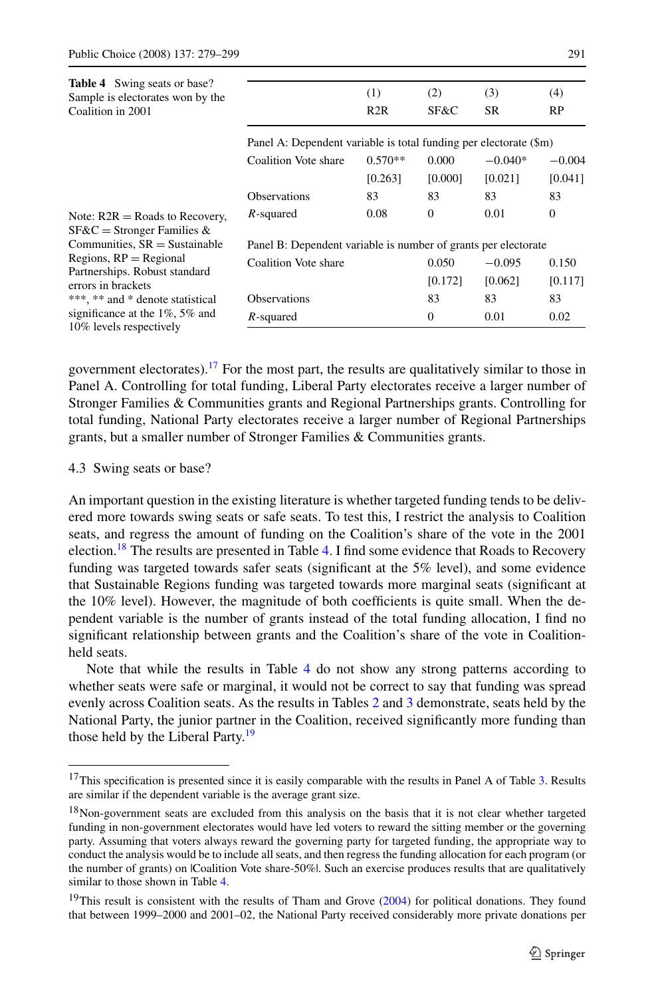<span id="page-12-0"></span>

| <b>Table 4</b> Swing seats or base?                              |                                                                   |           |                |           |              |  |
|------------------------------------------------------------------|-------------------------------------------------------------------|-----------|----------------|-----------|--------------|--|
| Sample is electorates won by the                                 |                                                                   | (1)       | (2)            | (3)       | (4)          |  |
| Coalition in 2001                                                |                                                                   | R2R       | SF&C           | <b>SR</b> | RP           |  |
|                                                                  | Panel A: Dependent variable is total funding per electorate (\$m) |           |                |           |              |  |
|                                                                  | Coalition Vote share                                              | $0.570**$ | 0.000          | $-0.040*$ | $-0.004$     |  |
|                                                                  |                                                                   | [0.263]   | [0.000]        | [0.021]   | [0.041]      |  |
|                                                                  | <b>Observations</b>                                               | 83        | 83             | 83        | 83           |  |
| Note: $R2R = Roads$ to Recovery,<br>$SFAC =$ Stronger Families & | $R$ -squared                                                      | 0.08      | $\overline{0}$ | 0.01      | $\mathbf{0}$ |  |
| Communities, $SR =$ Sustainable                                  | Panel B: Dependent variable is number of grants per electorate    |           |                |           |              |  |
| Regions, $RP =$ Regional                                         | Coalition Vote share                                              |           | 0.050          | $-0.095$  | 0.150        |  |
| Partnerships. Robust standard<br>errors in brackets              |                                                                   |           | [0.172]        | [0.062]   | [0.117]      |  |
| ***, ** and * denote statistical                                 | <b>Observations</b>                                               |           | 83             | 83        | 83           |  |
| significance at the $1\%$ , 5% and<br>10% levels respectively    | $R$ -squared                                                      |           | $\overline{0}$ | 0.01      | 0.02         |  |

government electorates).<sup>17</sup> For the most part, the results are qualitatively similar to those in Panel A. Controlling for total funding, Liberal Party electorates receive a larger number of Stronger Families & Communities grants and Regional Partnerships grants. Controlling for total funding, National Party electorates receive a larger number of Regional Partnerships grants, but a smaller number of Stronger Families & Communities grants.

### 4.3 Swing seats or base?

An important question in the existing literature is whether targeted funding tends to be delivered more towards swing seats or safe seats. To test this, I restrict the analysis to Coalition seats, and regress the amount of funding on the Coalition's share of the vote in the 2001 election.<sup>18</sup> The results are presented in Table 4. I find some evidence that Roads to Recovery funding was targeted towards safer seats (significant at the 5% level), and some evidence that Sustainable Regions funding was targeted towards more marginal seats (significant at the 10% level). However, the magnitude of both coefficients is quite small. When the dependent variable is the number of grants instead of the total funding allocation, I find no significant relationship between grants and the Coalition's share of the vote in Coalitionheld seats.

Note that while the results in Table 4 do not show any strong patterns according to whether seats were safe or marginal, it would not be correct to say that funding was spread evenly across Coalition seats. As the results in Tables [2](#page-10-0) and [3](#page-11-0) demonstrate, seats held by the National Party, the junior partner in the Coalition, received significantly more funding than those held by the Liberal Party.<sup>19</sup>

<sup>&</sup>lt;sup>17</sup>This specification is presented since it is easily comparable with the results in Panel A of Table [3.](#page-11-0) Results are similar if the dependent variable is the average grant size.

<sup>&</sup>lt;sup>18</sup>Non-government seats are excluded from this analysis on the basis that it is not clear whether targeted funding in non-government electorates would have led voters to reward the sitting member or the governing party. Assuming that voters always reward the governing party for targeted funding, the appropriate way to conduct the analysis would be to include all seats, and then regress the funding allocation for each program (or the number of grants) on |Coalition Vote share-50%|. Such an exercise produces results that are qualitatively similar to those shown in Table 4.

<sup>&</sup>lt;sup>19</sup>This result is consistent with the results of Tham and Grove  $(2004)$  for political donations. They found that between 1999–2000 and 2001–02, the National Party received considerably more private donations per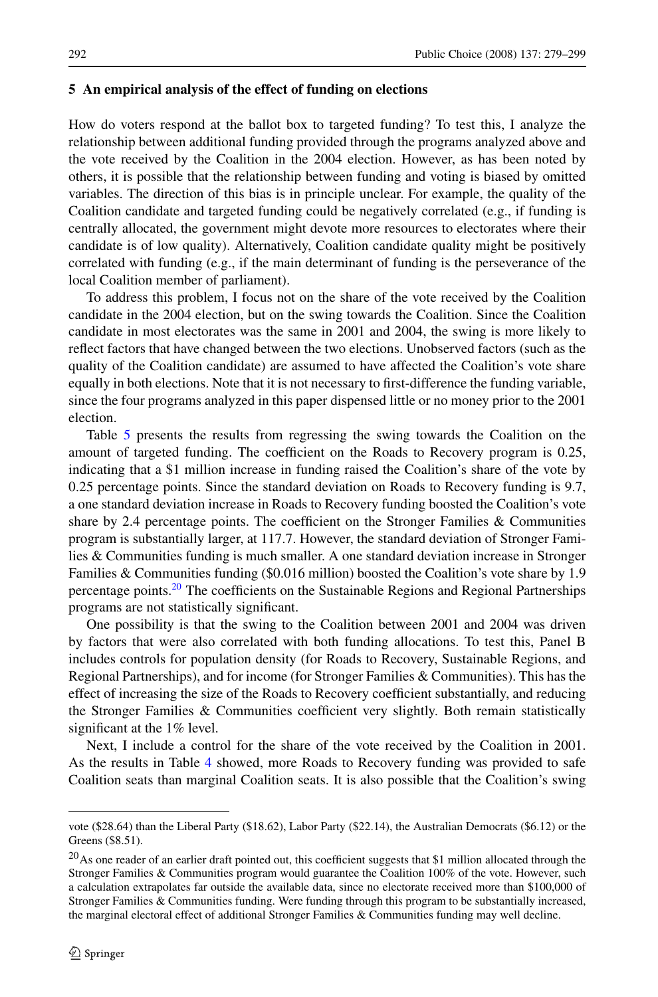#### <span id="page-13-0"></span>**5 An empirical analysis of the effect of funding on elections**

How do voters respond at the ballot box to targeted funding? To test this, I analyze the relationship between additional funding provided through the programs analyzed above and the vote received by the Coalition in the 2004 election. However, as has been noted by others, it is possible that the relationship between funding and voting is biased by omitted variables. The direction of this bias is in principle unclear. For example, the quality of the Coalition candidate and targeted funding could be negatively correlated (e.g., if funding is centrally allocated, the government might devote more resources to electorates where their candidate is of low quality). Alternatively, Coalition candidate quality might be positively correlated with funding (e.g., if the main determinant of funding is the perseverance of the local Coalition member of parliament).

To address this problem, I focus not on the share of the vote received by the Coalition candidate in the 2004 election, but on the swing towards the Coalition. Since the Coalition candidate in most electorates was the same in 2001 and 2004, the swing is more likely to reflect factors that have changed between the two elections. Unobserved factors (such as the quality of the Coalition candidate) are assumed to have affected the Coalition's vote share equally in both elections. Note that it is not necessary to first-difference the funding variable, since the four programs analyzed in this paper dispensed little or no money prior to the 2001 election.

Table [5](#page-14-0) presents the results from regressing the swing towards the Coalition on the amount of targeted funding. The coefficient on the Roads to Recovery program is 0.25, indicating that a \$1 million increase in funding raised the Coalition's share of the vote by 0.25 percentage points. Since the standard deviation on Roads to Recovery funding is 9.7, a one standard deviation increase in Roads to Recovery funding boosted the Coalition's vote share by 2.4 percentage points. The coefficient on the Stronger Families & Communities program is substantially larger, at 117.7. However, the standard deviation of Stronger Families & Communities funding is much smaller. A one standard deviation increase in Stronger Families & Communities funding (\$0.016 million) boosted the Coalition's vote share by 1.9 percentage points.20 The coefficients on the Sustainable Regions and Regional Partnerships programs are not statistically significant.

One possibility is that the swing to the Coalition between 2001 and 2004 was driven by factors that were also correlated with both funding allocations. To test this, Panel B includes controls for population density (for Roads to Recovery, Sustainable Regions, and Regional Partnerships), and for income (for Stronger Families & Communities). This has the effect of increasing the size of the Roads to Recovery coefficient substantially, and reducing the Stronger Families & Communities coefficient very slightly. Both remain statistically significant at the 1% level.

Next, I include a control for the share of the vote received by the Coalition in 2001. As the results in Table [4](#page-12-0) showed, more Roads to Recovery funding was provided to safe Coalition seats than marginal Coalition seats. It is also possible that the Coalition's swing

vote (\$28.64) than the Liberal Party (\$18.62), Labor Party (\$22.14), the Australian Democrats (\$6.12) or the Greens (\$8.51).

 $^{20}$ As one reader of an earlier draft pointed out, this coefficient suggests that \$1 million allocated through the Stronger Families & Communities program would guarantee the Coalition 100% of the vote. However, such a calculation extrapolates far outside the available data, since no electorate received more than \$100,000 of Stronger Families & Communities funding. Were funding through this program to be substantially increased, the marginal electoral effect of additional Stronger Families & Communities funding may well decline.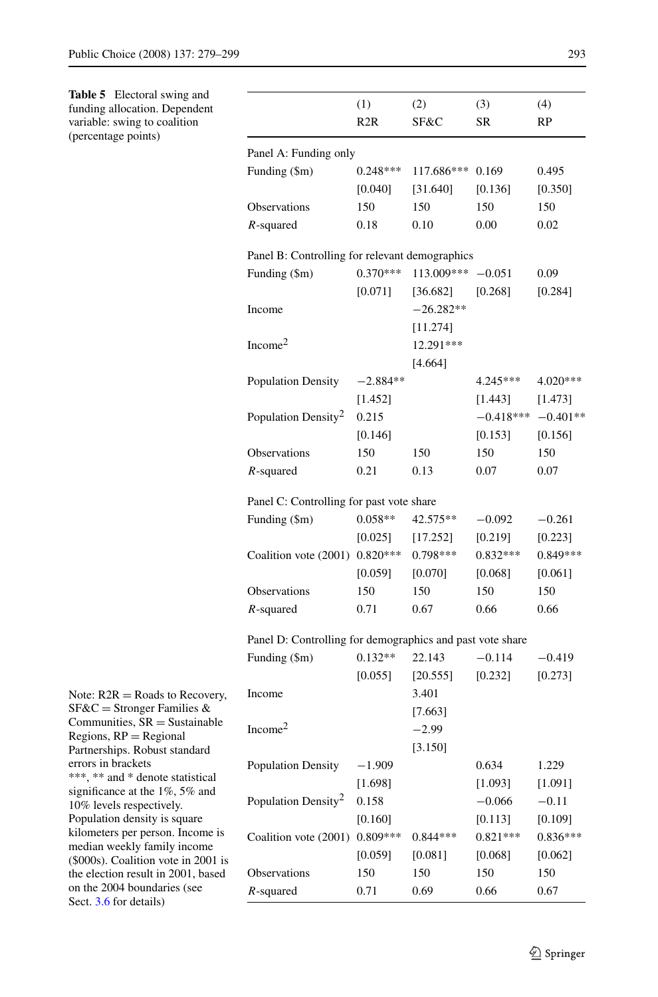<span id="page-14-0"></span>**Table 5** Electoral swing and funding allocation. Dependent variable: swing to coalition (percentage points)

|                                                | (1)        | (2)                            | (3)                    | (4)        |
|------------------------------------------------|------------|--------------------------------|------------------------|------------|
|                                                | R2R        | SF&C                           | <b>SR</b>              | RP         |
| Panel A: Funding only                          |            |                                |                        |            |
| Funding (\$m)                                  |            | $0.248***$ 117.686***          | 0.169                  | 0.495      |
|                                                | [0.040]    | [31.640]                       | [0.136]                | [0.350]    |
| <b>Observations</b>                            | 150        | 150                            | 150                    | 150        |
| $R$ -squared                                   | 0.18       | 0.10                           | 0.00                   | 0.02       |
| Panel B: Controlling for relevant demographics |            |                                |                        |            |
| Funding (\$m)                                  |            | $0.370***$ 113.009*** $-0.051$ |                        | 0.09       |
|                                                |            | $[0.071]$ $[36.682]$           | [0.268]                | [0.284]    |
| Income                                         |            | $-26.282**$                    |                        |            |
|                                                |            | [11.274]                       |                        |            |
| Income <sup>2</sup>                            |            | 12.291***                      |                        |            |
|                                                |            | [4.664]                        |                        |            |
| Population Density                             | $-2.884**$ |                                | $4.245***$             | $4.020***$ |
|                                                | [1.452]    |                                | $[1.443]$ $[1.473]$    |            |
| Population Density <sup>2</sup>                | 0.215      |                                | $-0.418***$ $-0.401**$ |            |
|                                                | [0.146]    |                                | [0.153]                | [0.156]    |
| <b>Observations</b>                            | 150        | 150                            | 150                    | 150        |
| $R$ -squared                                   | 0.21       | 0.13                           | 0.07                   | 0.07       |
| Panel C: Controlling for past vote share       |            |                                |                        |            |
| Funding (\$m)                                  |            | $0.058**$ 42.575**             | $-0.092$               | $-0.261$   |
|                                                |            | $[0.025]$ $[17.252]$           | [0.219]                | [0.223]    |
| Coalition vote (2001) 0.820*** 0.798***        |            |                                | $0.832***$             | $0.849***$ |

Panel D: Controlling for demographics and past vote share

Observations 150 150 150 150 *R*-squared 0.71 0.67 0.66 0.66

[0.059] [0.070] [0.068] [0.061]

|             | Funding (\$m)                   | $0.132**$  | 22.143     | $-0.114$   | $-0.419$   |
|-------------|---------------------------------|------------|------------|------------|------------|
|             |                                 | [0.055]    | [20.555]   | [0.232]    | [0.273]    |
| overy,      | Income                          |            | 3.401      |            |            |
| &           |                                 |            | [7.663]    |            |            |
| iable       | Income <sup>2</sup>             |            | $-2.99$    |            |            |
| rd          |                                 |            | [3.150]    |            |            |
|             | <b>Population Density</b>       | $-1.909$   |            | 0.634      | 1.229      |
| cal<br>and  |                                 | [1.698]    |            | [1.093]    | [1.091]    |
|             | Population Density <sup>2</sup> | 0.158      |            | $-0.066$   | $-0.11$    |
|             |                                 | [0.160]    |            | [0.113]    | [0.109]    |
| me is<br>ne | Coalition vote (2001)           | $0.809***$ | $0.844***$ | $0.821***$ | $0.836***$ |
| 001 is      |                                 | [0.059]    | [0.081]    | [0.068]    | [0.062]    |
| oased       | <b>Observations</b>             | 150        | 150        | 150        | 150        |
|             | $R$ -squared                    | 0.71       | 0.69       | 0.66       | 0.67       |

Note:  $R2R =$ Roads to Recovery  $SFGC =$ Stronger Families Communities,  $SR =$  Sustain  $Region, RP = Regional$ Partnerships. Robust standar errors in brackets \*\*\*, \*\* and \* denote statisti significance at the  $1\%$ ,  $5\%$  and 10% levels respectively. Population density is square kilometers per person. Incor median weekly family incor  $($ \$000s $)$ . Coalition vote in 20 the election result in  $2001$ , b on the 2004 boundaries (see Sect. [3.6](#page-7-0) for details)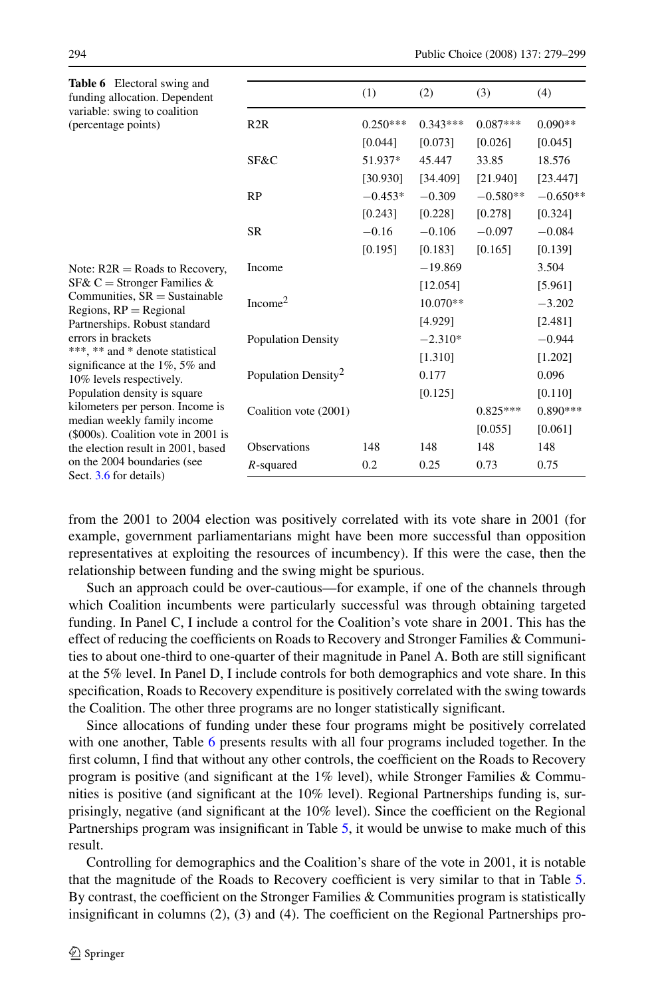| <b>Table 6</b> Electoral swing and<br>funding allocation. Dependent    |                                 | (1)        | (2)        | (3)        | (4)        |
|------------------------------------------------------------------------|---------------------------------|------------|------------|------------|------------|
| variable: swing to coalition<br>(percentage points)                    | R2R                             | $0.250***$ | $0.343***$ | $0.087***$ | $0.090**$  |
|                                                                        |                                 | [0.044]    | [0.073]    | [0.026]    | [0.045]    |
|                                                                        | SF&C                            | 51.937*    | 45.447     | 33.85      | 18.576     |
|                                                                        |                                 | [30.930]   | [34.409]   | [21.940]   | [23.447]   |
|                                                                        | RP                              | $-0.453*$  | $-0.309$   | $-0.580**$ | $-0.650**$ |
|                                                                        |                                 | [0.243]    | [0.228]    | [0.278]    | [0.324]    |
|                                                                        | SR                              | $-0.16$    | $-0.106$   | $-0.097$   | $-0.084$   |
|                                                                        |                                 | [0.195]    | [0.183]    | [0.165]    | [0.139]    |
| Note: $R2R = Roads$ to Recovery,                                       | Income                          |            | $-19.869$  |            | 3.504      |
| SF& C = Stronger Families &                                            |                                 |            | [12.054]   |            | [5.961]    |
| Communities, $SR =$ Sustainable<br>Regions, $RP =$ Regional            | Income <sup>2</sup>             |            | 10.070**   |            | $-3.202$   |
| Partnerships. Robust standard                                          |                                 |            | [4.929]    |            | [2.481]    |
| errors in brackets                                                     | Population Density              |            | $-2.310*$  |            | $-0.944$   |
| ***, ** and * denote statistical<br>significance at the $1\%$ , 5% and |                                 |            | [1.310]    |            | [1.202]    |
| 10% levels respectively.                                               | Population Density <sup>2</sup> |            | 0.177      |            | 0.096      |
| Population density is square                                           |                                 |            | [0.125]    |            | [0.110]    |
| kilometers per person. Income is<br>median weekly family income        | Coalition vote (2001)           |            |            | $0.825***$ | $0.890***$ |
| (\$000s). Coalition vote in 2001 is                                    |                                 |            |            | [0.055]    | [0.061]    |
| the election result in 2001, based                                     | <b>Observations</b>             | 148        | 148        | 148        | 148        |
| on the 2004 boundaries (see<br>Sect. 3.6 for details)                  | $R$ -squared                    | 0.2        | 0.25       | 0.73       | 0.75       |
|                                                                        |                                 |            |            |            |            |

from the 2001 to 2004 election was positively correlated with its vote share in 2001 (for example, government parliamentarians might have been more successful than opposition representatives at exploiting the resources of incumbency). If this were the case, then the relationship between funding and the swing might be spurious.

Such an approach could be over-cautious—for example, if one of the channels through which Coalition incumbents were particularly successful was through obtaining targeted funding. In Panel C, I include a control for the Coalition's vote share in 2001. This has the effect of reducing the coefficients on Roads to Recovery and Stronger Families & Communities to about one-third to one-quarter of their magnitude in Panel A. Both are still significant at the 5% level. In Panel D, I include controls for both demographics and vote share. In this specification, Roads to Recovery expenditure is positively correlated with the swing towards the Coalition. The other three programs are no longer statistically significant.

Since allocations of funding under these four programs might be positively correlated with one another, Table 6 presents results with all four programs included together. In the first column, I find that without any other controls, the coefficient on the Roads to Recovery program is positive (and significant at the 1% level), while Stronger Families & Communities is positive (and significant at the 10% level). Regional Partnerships funding is, surprisingly, negative (and significant at the 10% level). Since the coefficient on the Regional Partnerships program was insignificant in Table [5](#page-14-0), it would be unwise to make much of this result.

Controlling for demographics and the Coalition's share of the vote in 2001, it is notable that the magnitude of the Roads to Recovery coefficient is very similar to that in Table [5](#page-14-0). By contrast, the coefficient on the Stronger Families & Communities program is statistically insignificant in columns (2), (3) and (4). The coefficient on the Regional Partnerships pro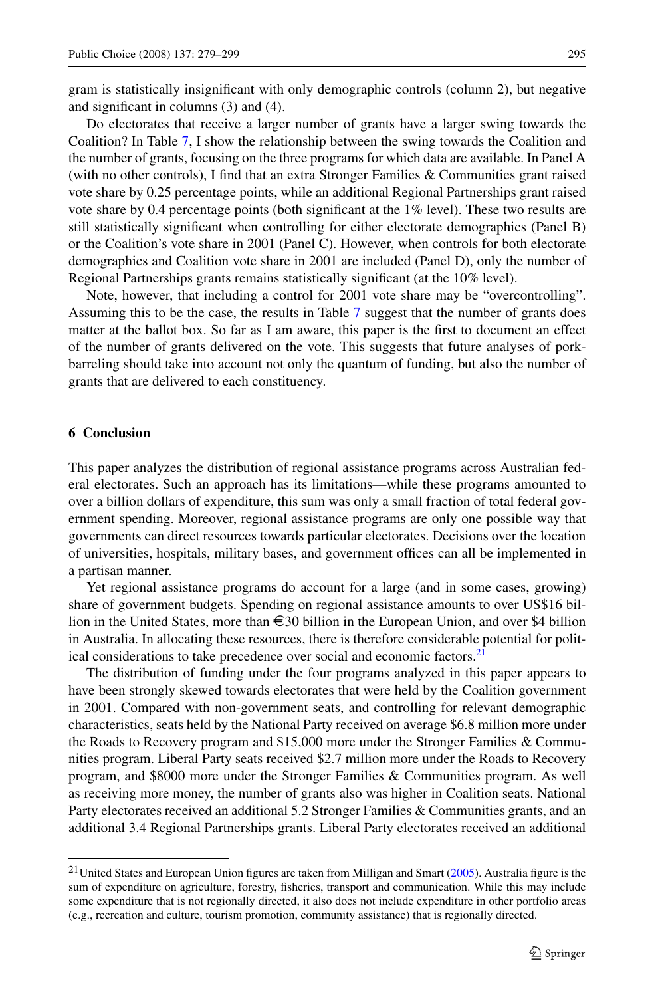gram is statistically insignificant with only demographic controls (column 2), but negative and significant in columns (3) and (4).

Do electorates that receive a larger number of grants have a larger swing towards the Coalition? In Table [7](#page-17-0), I show the relationship between the swing towards the Coalition and the number of grants, focusing on the three programs for which data are available. In Panel A (with no other controls), I find that an extra Stronger Families & Communities grant raised vote share by 0.25 percentage points, while an additional Regional Partnerships grant raised vote share by 0.4 percentage points (both significant at the 1% level). These two results are still statistically significant when controlling for either electorate demographics (Panel B) or the Coalition's vote share in 2001 (Panel C). However, when controls for both electorate demographics and Coalition vote share in 2001 are included (Panel D), only the number of Regional Partnerships grants remains statistically significant (at the 10% level).

Note, however, that including a control for 2001 vote share may be "overcontrolling". Assuming this to be the case, the results in Table [7](#page-17-0) suggest that the number of grants does matter at the ballot box. So far as I am aware, this paper is the first to document an effect of the number of grants delivered on the vote. This suggests that future analyses of porkbarreling should take into account not only the quantum of funding, but also the number of grants that are delivered to each constituency.

## **6 Conclusion**

This paper analyzes the distribution of regional assistance programs across Australian federal electorates. Such an approach has its limitations—while these programs amounted to over a billion dollars of expenditure, this sum was only a small fraction of total federal government spending. Moreover, regional assistance programs are only one possible way that governments can direct resources towards particular electorates. Decisions over the location of universities, hospitals, military bases, and government offices can all be implemented in a partisan manner.

Yet regional assistance programs do account for a large (and in some cases, growing) share of government budgets. Spending on regional assistance amounts to over US\$16 billion in the United States, more than €30 billion in the European Union, and over \$4 billion in Australia. In allocating these resources, there is therefore considerable potential for political considerations to take precedence over social and economic factors.<sup>21</sup>

The distribution of funding under the four programs analyzed in this paper appears to have been strongly skewed towards electorates that were held by the Coalition government in 2001. Compared with non-government seats, and controlling for relevant demographic characteristics, seats held by the National Party received on average \$6.8 million more under the Roads to Recovery program and \$15,000 more under the Stronger Families & Communities program. Liberal Party seats received \$2.7 million more under the Roads to Recovery program, and \$8000 more under the Stronger Families & Communities program. As well as receiving more money, the number of grants also was higher in Coalition seats. National Party electorates received an additional 5.2 Stronger Families & Communities grants, and an additional 3.4 Regional Partnerships grants. Liberal Party electorates received an additional

<sup>&</sup>lt;sup>21</sup> United States and European Union figures are taken from Milligan and Smart [\(2005](#page-20-0)). Australia figure is the sum of expenditure on agriculture, forestry, fisheries, transport and communication. While this may include some expenditure that is not regionally directed, it also does not include expenditure in other portfolio areas (e.g., recreation and culture, tourism promotion, community assistance) that is regionally directed.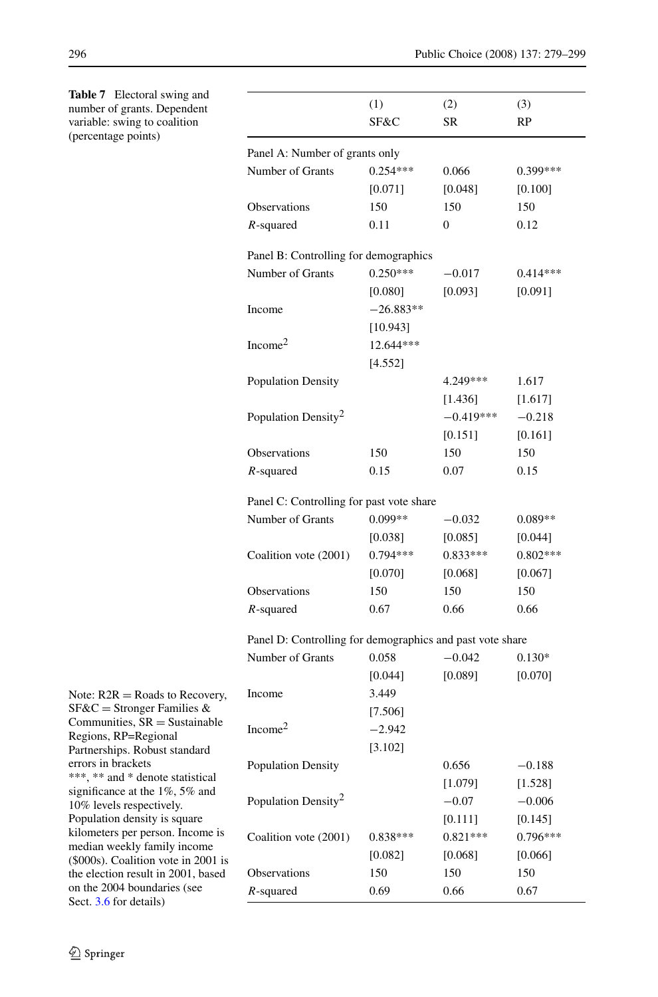| number of grants. Dependent                                        |                                                           | (1)         | (2)         | (3)        |  |  |
|--------------------------------------------------------------------|-----------------------------------------------------------|-------------|-------------|------------|--|--|
| variable: swing to coalition<br>(percentage points)                |                                                           | SF&C        | SR          | RP         |  |  |
|                                                                    | Panel A: Number of grants only                            |             |             |            |  |  |
|                                                                    | Number of Grants                                          | $0.254***$  | 0.066       | 0.399***   |  |  |
|                                                                    |                                                           | [0.071]     | [0.048]     | $[0.100]$  |  |  |
|                                                                    | Observations                                              | 150         | 150         | 150        |  |  |
|                                                                    | $R$ -squared                                              | 0.11        | 0           | 0.12       |  |  |
|                                                                    | Panel B: Controlling for demographics                     |             |             |            |  |  |
|                                                                    | Number of Grants                                          | $0.250***$  | $-0.017$    | $0.414***$ |  |  |
|                                                                    |                                                           | [0.080]     | [0.093]     | [0.091]    |  |  |
|                                                                    | Income                                                    | $-26.883**$ |             |            |  |  |
|                                                                    |                                                           | [10.943]    |             |            |  |  |
|                                                                    | Income <sup>2</sup>                                       | 12.644***   |             |            |  |  |
|                                                                    |                                                           | [4.552]     |             |            |  |  |
|                                                                    | <b>Population Density</b>                                 |             | 4.249***    | 1.617      |  |  |
|                                                                    |                                                           |             | [1.436]     | [1.617]    |  |  |
|                                                                    | Population Density <sup>2</sup>                           |             | $-0.419***$ | $-0.218$   |  |  |
|                                                                    |                                                           |             | $[0.151]$   | $[0.161]$  |  |  |
|                                                                    | <b>Observations</b>                                       | 150         | 150         | 150        |  |  |
|                                                                    | $R$ -squared                                              | 0.15        | 0.07        | 0.15       |  |  |
|                                                                    | Panel C: Controlling for past vote share                  |             |             |            |  |  |
|                                                                    | Number of Grants                                          | $0.099**$   | $-0.032$    | $0.089**$  |  |  |
|                                                                    |                                                           | [0.038]     | [0.085]     | $[0.044]$  |  |  |
|                                                                    | Coalition vote (2001)                                     | $0.794***$  | $0.833***$  | $0.802***$ |  |  |
|                                                                    |                                                           | [0.070]     | [0.068]     | $[0.067]$  |  |  |
|                                                                    | Observations                                              | 150         | 150         | 150        |  |  |
|                                                                    | $R$ -squared                                              | 0.67        | 0.66        | 0.66       |  |  |
|                                                                    | Panel D: Controlling for demographics and past vote share |             |             |            |  |  |
|                                                                    | Number of Grants                                          | 0.058       | $-0.042$    | $0.130*$   |  |  |
|                                                                    |                                                           | [0.044]     | [0.089]     | $[0.070]$  |  |  |
| Note: $R2R =$ Roads to Recovery,                                   | Income                                                    | 3.449       |             |            |  |  |
| $SFGC =$ Stronger Families &                                       |                                                           | [7.506]     |             |            |  |  |
| Communities, $SR =$ Sustainable<br>Regions, RP=Regional            | Income <sup>2</sup>                                       | $-2.942$    |             |            |  |  |
| Partnerships. Robust standard                                      |                                                           | [3.102]     |             |            |  |  |
| errors in brackets                                                 | Population Density                                        |             | 0.656       | $-0.188$   |  |  |
| ***, ** and * denote statistical<br>significance at the 1%, 5% and |                                                           |             | [1.079]     | [1.528]    |  |  |
| 10% levels respectively.                                           | Population Density <sup>2</sup>                           |             | $-0.07$     | $-0.006$   |  |  |
| Population density is square                                       |                                                           |             | [0.111]     | [0.145]    |  |  |
| kilometers per person. Income is                                   | Coalition vote (2001)                                     | $0.838***$  | $0.821***$  | $0.796***$ |  |  |
| median weekly family income<br>(\$000s). Coalition vote in 2001 is |                                                           | [0.082]     | [0.068]     | [0.066]    |  |  |
| the election result in 2001, based                                 | Observations                                              | 150         | 150         | 150        |  |  |
| on the 2004 boundaries (see<br>Sect. 3.6 for details)              | $R$ -squared                                              | 0.69        | 0.66        | 0.67       |  |  |
|                                                                    |                                                           |             |             |            |  |  |

<span id="page-17-0"></span>**Table 7** Electoral swing and number of grants. Dependent variable: swing to coalition (percentage points)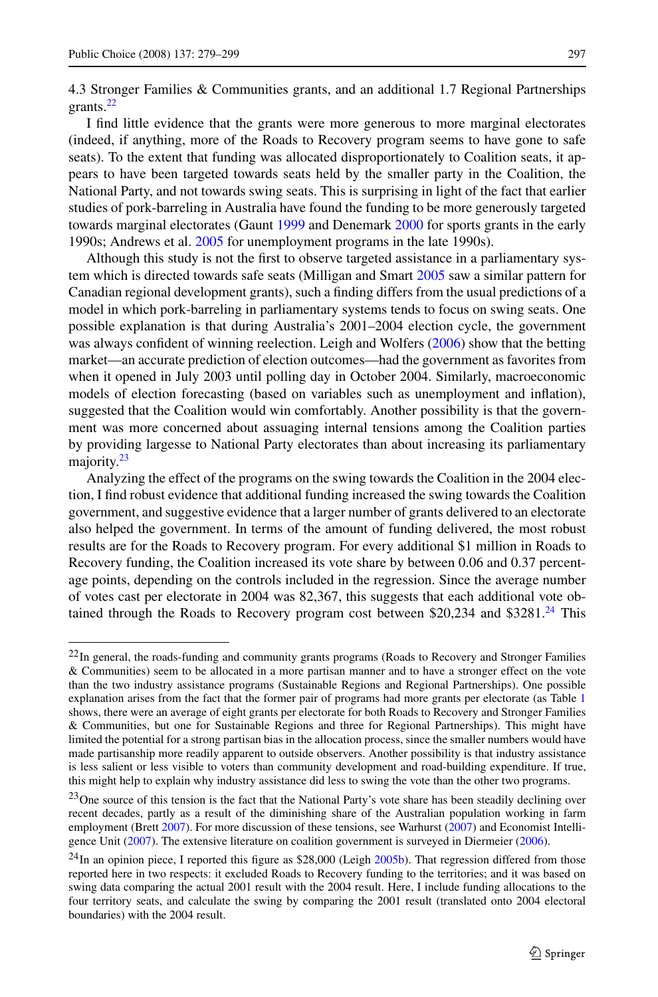4.3 Stronger Families & Communities grants, and an additional 1.7 Regional Partnerships grants.<sup>22</sup>

I find little evidence that the grants were more generous to more marginal electorates (indeed, if anything, more of the Roads to Recovery program seems to have gone to safe seats). To the extent that funding was allocated disproportionately to Coalition seats, it appears to have been targeted towards seats held by the smaller party in the Coalition, the National Party, and not towards swing seats. This is surprising in light of the fact that earlier studies of pork-barreling in Australia have found the funding to be more generously targeted towards marginal electorates (Gaunt [1999](#page-20-0) and Denemark [2000](#page-19-0) for sports grants in the early 1990s; Andrews et al. [2005](#page-19-0) for unemployment programs in the late 1990s).

Although this study is not the first to observe targeted assistance in a parliamentary system which is directed towards safe seats (Milligan and Smart [2005](#page-20-0) saw a similar pattern for Canadian regional development grants), such a finding differs from the usual predictions of a model in which pork-barreling in parliamentary systems tends to focus on swing seats. One possible explanation is that during Australia's 2001–2004 election cycle, the government was always confident of winning reelection. Leigh and Wolfers ([2006\)](#page-20-0) show that the betting market—an accurate prediction of election outcomes—had the government as favorites from when it opened in July 2003 until polling day in October 2004. Similarly, macroeconomic models of election forecasting (based on variables such as unemployment and inflation), suggested that the Coalition would win comfortably. Another possibility is that the government was more concerned about assuaging internal tensions among the Coalition parties by providing largesse to National Party electorates than about increasing its parliamentary majority.<sup>23</sup>

Analyzing the effect of the programs on the swing towards the Coalition in the 2004 election, I find robust evidence that additional funding increased the swing towards the Coalition government, and suggestive evidence that a larger number of grants delivered to an electorate also helped the government. In terms of the amount of funding delivered, the most robust results are for the Roads to Recovery program. For every additional \$1 million in Roads to Recovery funding, the Coalition increased its vote share by between 0.06 and 0.37 percentage points, depending on the controls included in the regression. Since the average number of votes cast per electorate in 2004 was 82,367, this suggests that each additional vote obtained through the Roads to Recovery program cost between \$20,234 and \$3281. $^{24}$  This

<sup>&</sup>lt;sup>22</sup>In general, the roads-funding and community grants programs (Roads to Recovery and Stronger Families & Communities) seem to be allocated in a more partisan manner and to have a stronger effect on the vote than the two industry assistance programs (Sustainable Regions and Regional Partnerships). One possible explanation arises from the fact that the former pair of programs had more grants per electorate (as Table [1](#page-9-0) shows, there were an average of eight grants per electorate for both Roads to Recovery and Stronger Families & Communities, but one for Sustainable Regions and three for Regional Partnerships). This might have limited the potential for a strong partisan bias in the allocation process, since the smaller numbers would have made partisanship more readily apparent to outside observers. Another possibility is that industry assistance is less salient or less visible to voters than community development and road-building expenditure. If true, this might help to explain why industry assistance did less to swing the vote than the other two programs.

<sup>&</sup>lt;sup>23</sup>One source of this tension is the fact that the National Party's vote share has been steadily declining over recent decades, partly as a result of the diminishing share of the Australian population working in farm employment (Brett [2007](#page-19-0)). For more discussion of these tensions, see Warhurst ([2007\)](#page-20-0) and Economist Intelligence Unit [\(2007](#page-20-0)). The extensive literature on coalition government is surveyed in Diermeier [\(2006](#page-20-0)).

 $^{24}$ In an opinion piece, I reported this figure as \$28,000 (Leigh [2005b](#page-20-0)). That regression differed from those reported here in two respects: it excluded Roads to Recovery funding to the territories; and it was based on swing data comparing the actual 2001 result with the 2004 result. Here, I include funding allocations to the four territory seats, and calculate the swing by comparing the 2001 result (translated onto 2004 electoral boundaries) with the 2004 result.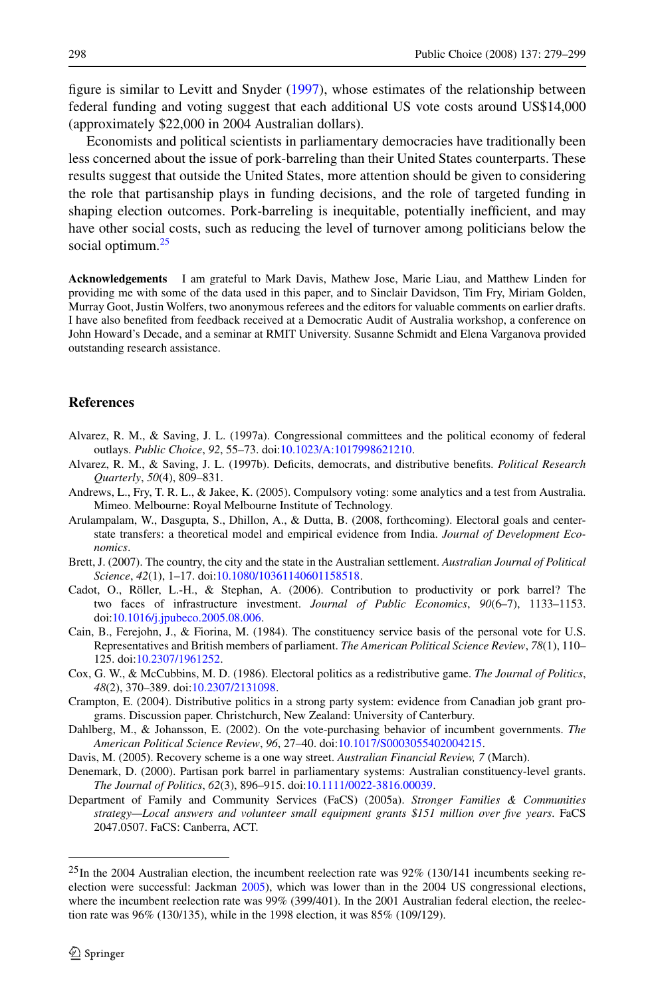<span id="page-19-0"></span>figure is similar to Levitt and Snyder [\(1997](#page-20-0)), whose estimates of the relationship between federal funding and voting suggest that each additional US vote costs around US\$14,000 (approximately \$22,000 in 2004 Australian dollars).

Economists and political scientists in parliamentary democracies have traditionally been less concerned about the issue of pork-barreling than their United States counterparts. These results suggest that outside the United States, more attention should be given to considering the role that partisanship plays in funding decisions, and the role of targeted funding in shaping election outcomes. Pork-barreling is inequitable, potentially inefficient, and may have other social costs, such as reducing the level of turnover among politicians below the social optimum.<sup>25</sup>

**Acknowledgements** I am grateful to Mark Davis, Mathew Jose, Marie Liau, and Matthew Linden for providing me with some of the data used in this paper, and to Sinclair Davidson, Tim Fry, Miriam Golden, Murray Goot, Justin Wolfers, two anonymous referees and the editors for valuable comments on earlier drafts. I have also benefited from feedback received at a Democratic Audit of Australia workshop, a conference on John Howard's Decade, and a seminar at RMIT University. Susanne Schmidt and Elena Varganova provided outstanding research assistance.

### **References**

- Alvarez, R. M., & Saving, J. L. (1997a). Congressional committees and the political economy of federal outlays. *Public Choice*, *92*, 55–73. doi[:10.1023/A:1017998621210](http://dx.doi.org/10.1023/A:1017998621210).
- Alvarez, R. M., & Saving, J. L. (1997b). Deficits, democrats, and distributive benefits. *Political Research Quarterly*, *50*(4), 809–831.
- Andrews, L., Fry, T. R. L., & Jakee, K. (2005). Compulsory voting: some analytics and a test from Australia. Mimeo. Melbourne: Royal Melbourne Institute of Technology.
- Arulampalam, W., Dasgupta, S., Dhillon, A., & Dutta, B. (2008, forthcoming). Electoral goals and centerstate transfers: a theoretical model and empirical evidence from India. *Journal of Development Economics*.
- Brett, J. (2007). The country, the city and the state in the Australian settlement. *Australian Journal of Political Science*, *42*(1), 1–17. doi:[10.1080/10361140601158518.](http://dx.doi.org/10.1080/10361140601158518)
- Cadot, O., Röller, L.-H., & Stephan, A. (2006). Contribution to productivity or pork barrel? The two faces of infrastructure investment. *Journal of Public Economics*, *90*(6–7), 1133–1153. doi[:10.1016/j.jpubeco.2005.08.006.](http://dx.doi.org/10.1016/j.jpubeco.2005.08.006)
- Cain, B., Ferejohn, J., & Fiorina, M. (1984). The constituency service basis of the personal vote for U.S. Representatives and British members of parliament. *The American Political Science Review*, *78*(1), 110– 125. doi[:10.2307/1961252](http://dx.doi.org/10.2307/1961252).
- Cox, G. W., & McCubbins, M. D. (1986). Electoral politics as a redistributive game. *The Journal of Politics*, *48*(2), 370–389. doi[:10.2307/2131098](http://dx.doi.org/10.2307/2131098).
- Crampton, E. (2004). Distributive politics in a strong party system: evidence from Canadian job grant programs. Discussion paper. Christchurch, New Zealand: University of Canterbury.
- Dahlberg, M., & Johansson, E. (2002). On the vote-purchasing behavior of incumbent governments. *The American Political Science Review*, *96*, 27–40. doi:[10.1017/S0003055402004215](http://dx.doi.org/10.1017/S0003055402004215).
- Davis, M. (2005). Recovery scheme is a one way street. *Australian Financial Review, 7* (March).
- Denemark, D. (2000). Partisan pork barrel in parliamentary systems: Australian constituency-level grants. *The Journal of Politics*, *62*(3), 896–915. doi:[10.1111/0022-3816.00039](http://dx.doi.org/10.1111/0022-3816.00039).
- Department of Family and Community Services (FaCS) (2005a). *Stronger Families & Communities strategy—Local answers and volunteer small equipment grants \$151 million over five years*. FaCS 2047.0507. FaCS: Canberra, ACT.

 $^{25}$ In the 2004 Australian election, the incumbent reelection rate was 92% (130/141 incumbents seeking reelection were successful: Jackman [2005](#page-20-0)), which was lower than in the 2004 US congressional elections, where the incumbent reelection rate was  $99\%$  (399/401). In the 2001 Australian federal election, the reelection rate was 96% (130/135), while in the 1998 election, it was 85% (109/129).